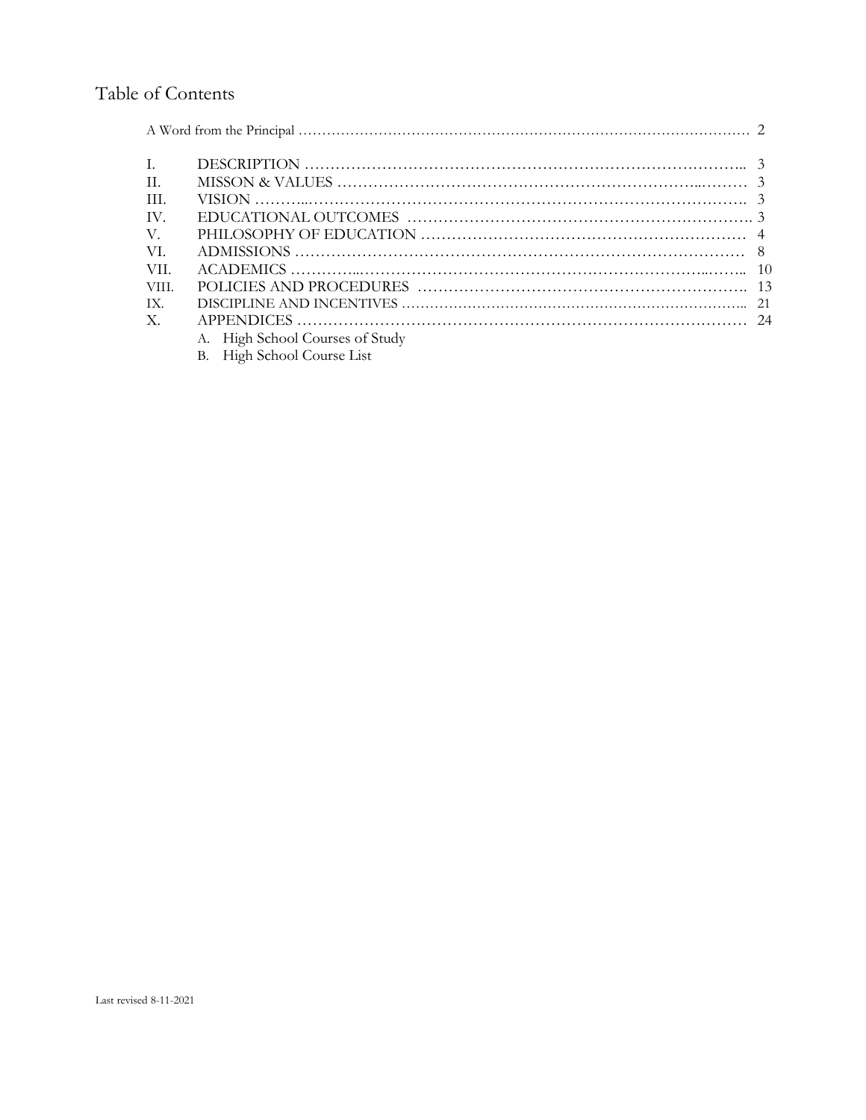# Table of Contents

| H.             | MISSON & VALUES $\ldots$ $\ldots$ $\ldots$ $\ldots$ $\ldots$ $\ldots$ $\ldots$ $\ldots$ $\ldots$ $\ldots$ $\ldots$ $\ldots$ $\ldots$ $\ldots$ $\ldots$ $\ldots$ $\ldots$ $\ldots$ $\ldots$ $\ldots$ $\ldots$ $\ldots$ $\ldots$ $\ldots$ $\ldots$ $\ldots$ $\ldots$ $\ldots$ $\ldots$ $\ldots$ $\ldots$ $\ldots$ $\ldots$ $\ldots$ |  |  |  |
|----------------|-----------------------------------------------------------------------------------------------------------------------------------------------------------------------------------------------------------------------------------------------------------------------------------------------------------------------------------|--|--|--|
| -HL            |                                                                                                                                                                                                                                                                                                                                   |  |  |  |
| TV.            |                                                                                                                                                                                                                                                                                                                                   |  |  |  |
| V.             |                                                                                                                                                                                                                                                                                                                                   |  |  |  |
| VI.            |                                                                                                                                                                                                                                                                                                                                   |  |  |  |
| -VII.          |                                                                                                                                                                                                                                                                                                                                   |  |  |  |
| VIII.          |                                                                                                                                                                                                                                                                                                                                   |  |  |  |
| TX.            |                                                                                                                                                                                                                                                                                                                                   |  |  |  |
| $\mathbf{X}$ . |                                                                                                                                                                                                                                                                                                                                   |  |  |  |
|                | A. High School Courses of Study                                                                                                                                                                                                                                                                                                   |  |  |  |
|                | B. High School Course List                                                                                                                                                                                                                                                                                                        |  |  |  |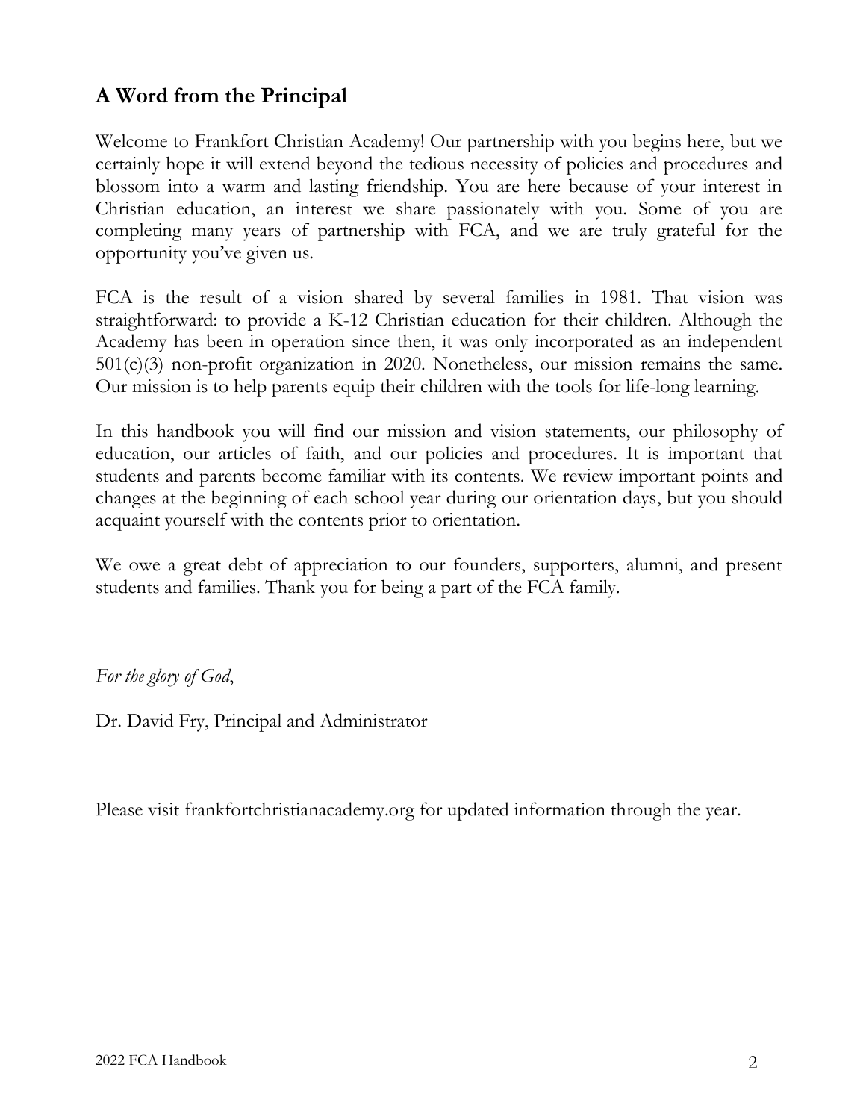# **A Word from the Principal**

Welcome to Frankfort Christian Academy! Our partnership with you begins here, but we certainly hope it will extend beyond the tedious necessity of policies and procedures and blossom into a warm and lasting friendship. You are here because of your interest in Christian education, an interest we share passionately with you. Some of you are completing many years of partnership with FCA, and we are truly grateful for the opportunity you've given us.

FCA is the result of a vision shared by several families in 1981. That vision was straightforward: to provide a K-12 Christian education for their children. Although the Academy has been in operation since then, it was only incorporated as an independent 501(c)(3) non-profit organization in 2020. Nonetheless, our mission remains the same. Our mission is to help parents equip their children with the tools for life-long learning.

In this handbook you will find our mission and vision statements, our philosophy of education, our articles of faith, and our policies and procedures. It is important that students and parents become familiar with its contents. We review important points and changes at the beginning of each school year during our orientation days, but you should acquaint yourself with the contents prior to orientation.

We owe a great debt of appreciation to our founders, supporters, alumni, and present students and families. Thank you for being a part of the FCA family.

*For the glory of God*,

Dr. David Fry, Principal and Administrator

Please visit frankfortchristianacademy.org for updated information through the year.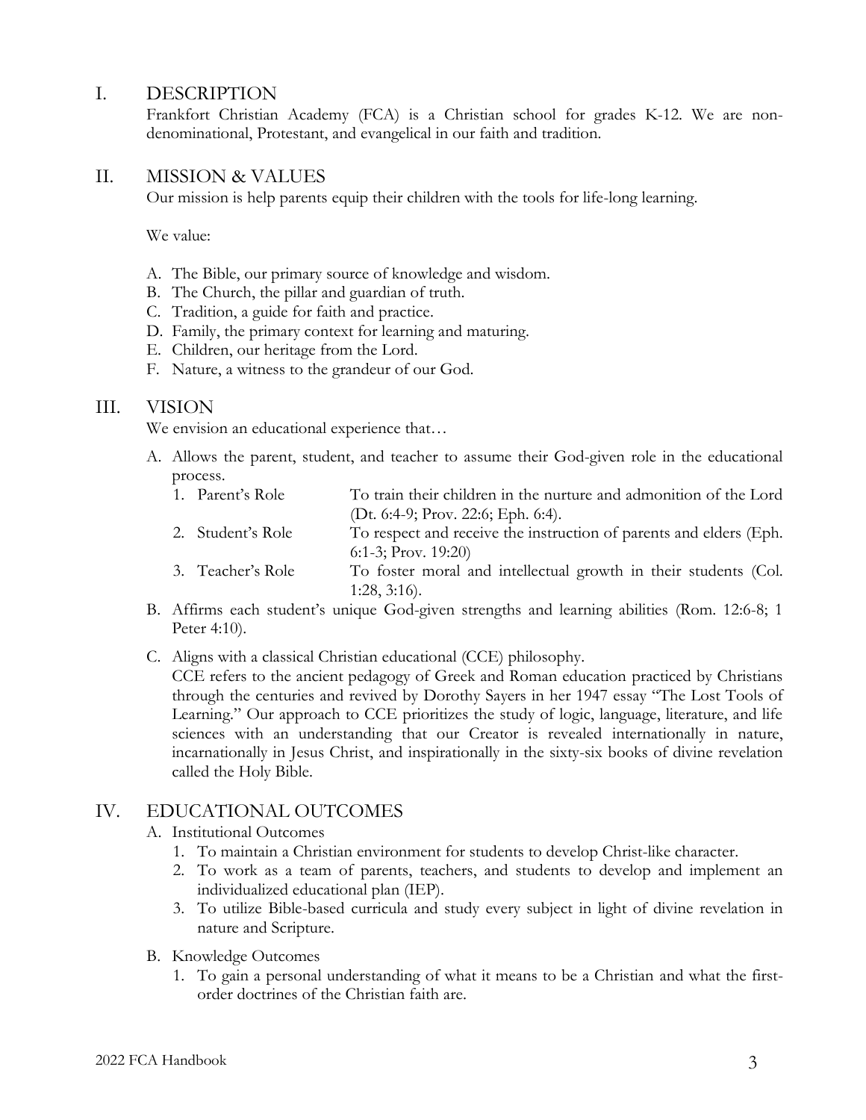## I. DESCRIPTION

Frankfort Christian Academy (FCA) is a Christian school for grades K-12. We are nondenominational, Protestant, and evangelical in our faith and tradition.

## II. MISSION & VALUES

Our mission is help parents equip their children with the tools for life-long learning.

We value:

- A. The Bible, our primary source of knowledge and wisdom.
- B. The Church, the pillar and guardian of truth.
- C. Tradition, a guide for faith and practice.
- D. Family, the primary context for learning and maturing.
- E. Children, our heritage from the Lord.
- F. Nature, a witness to the grandeur of our God.

### III. VISION

We envision an educational experience that...

- A. Allows the parent, student, and teacher to assume their God-given role in the educational process.
	- 1. Parent's Role To train their children in the nurture and admonition of the Lord (Dt. 6:4-9; Prov. 22:6; Eph. 6:4).
	- 2. Student's Role To respect and receive the instruction of parents and elders (Eph. 6:1-3; Prov. 19:20)
	- 3. Teacher's Role To foster moral and intellectual growth in their students (Col. 1:28, 3:16).
- B. Affirms each student's unique God-given strengths and learning abilities (Rom. 12:6-8; 1 Peter 4:10).
- C. Aligns with a classical Christian educational (CCE) philosophy.

CCE refers to the ancient pedagogy of Greek and Roman education practiced by Christians through the centuries and revived by Dorothy Sayers in her 1947 essay "The Lost Tools of Learning." Our approach to CCE prioritizes the study of logic, language, literature, and life sciences with an understanding that our Creator is revealed internationally in nature, incarnationally in Jesus Christ, and inspirationally in the sixty-six books of divine revelation called the Holy Bible.

## IV. EDUCATIONAL OUTCOMES

### A. Institutional Outcomes

- 1. To maintain a Christian environment for students to develop Christ-like character.
- 2. To work as a team of parents, teachers, and students to develop and implement an individualized educational plan (IEP).
- 3. To utilize Bible-based curricula and study every subject in light of divine revelation in nature and Scripture.
- B. Knowledge Outcomes
	- 1. To gain a personal understanding of what it means to be a Christian and what the firstorder doctrines of the Christian faith are.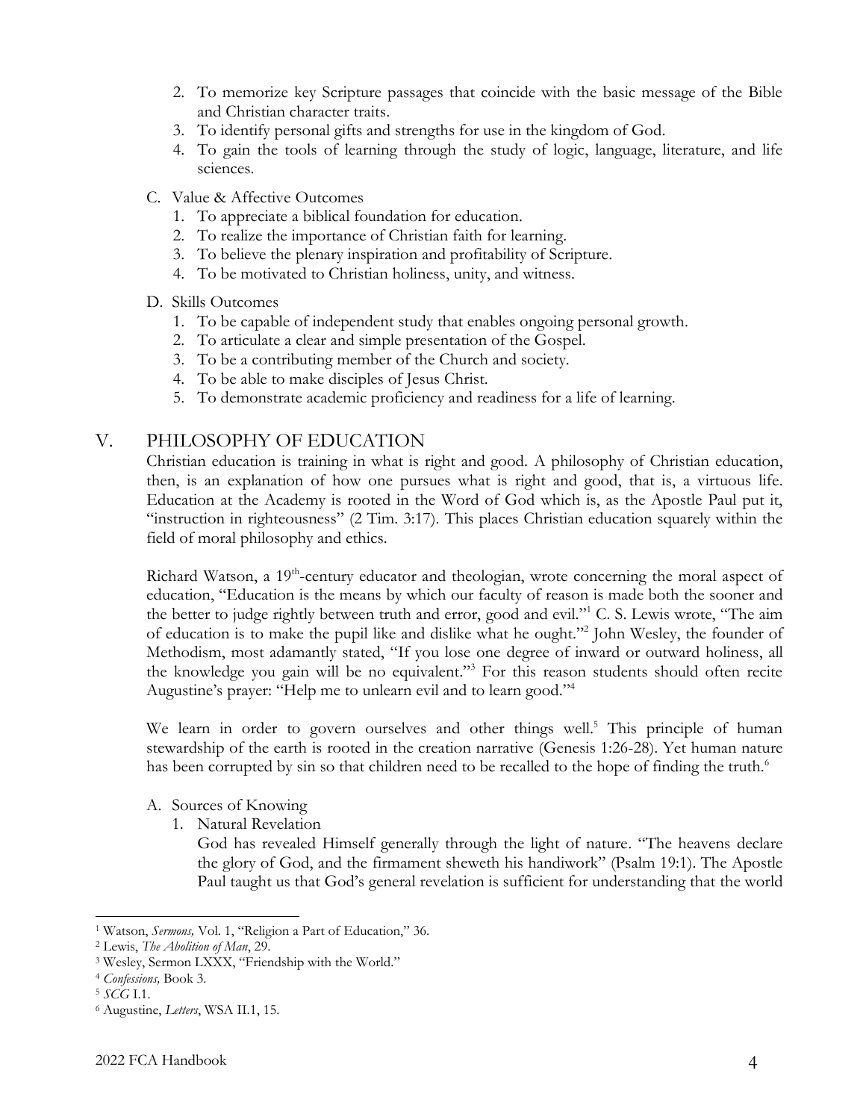- 2. To memorize key Scripture passages that coincide with the basic message of the Bible and Christian character traits.
- 3. To identify personal gifts and strengths for use in the kingdom of God.
- 4. To gain the tools of learning through the study of logic, language, literature, and life sciences.
- C. Value & Affective Outcomes
	- 1. To appreciate a biblical foundation for education.
	- 2. To realize the importance of Christian faith for learning.
	- 3. To believe the plenary inspiration and profitability of Scripture.
	- 4. To be motivated to Christian holiness, unity, and witness.

## D. Skills Outcomes

- 1. To be capable of independent study that enables ongoing personal growth.
- 2. To articulate a clear and simple presentation of the Gospel.
- 3. To be a contributing member of the Church and society.
- 4. To be able to make disciples of Jesus Christ.
- 5. To demonstrate academic proficiency and readiness for a life of learning.

## V. PHILOSOPHY OF EDUCATION

Christian education is training in what is right and good. A philosophy of Christian education, then, is an explanation of how one pursues what is right and good, that is, a virtuous life. Education at the Academy is rooted in the Word of God which is, as the Apostle Paul put it, "instruction in righteousness" (2 Tim. 3:17). This places Christian education squarely within the field of moral philosophy and ethics.

Richard Watson, a 19<sup>th</sup>-century educator and theologian, wrote concerning the moral aspect of education, "Education is the means by which our faculty of reason is made both the sooner and the better to judge rightly between truth and error, good and evil."<sup>1</sup> C. S. Lewis wrote, "The aim of education is to make the pupil like and dislike what he ought."<sup>2</sup> John Wesley, the founder of Methodism, most adamantly stated, "If you lose one degree of inward or outward holiness, all the knowledge you gain will be no equivalent."<sup>3</sup> For this reason students should often recite Augustine's prayer: "Help me to unlearn evil and to learn good."<sup>4</sup>

We learn in order to govern ourselves and other things well.<sup>5</sup> This principle of human stewardship of the earth is rooted in the creation narrative (Genesis 1:26-28). Yet human nature has been corrupted by sin so that children need to be recalled to the hope of finding the truth.<sup>6</sup>

## A. Sources of Knowing

1. Natural Revelation

God has revealed Himself generally through the light of nature. "The heavens declare the glory of God, and the firmament sheweth his handiwork" (Psalm 19:1). The Apostle Paul taught us that God's general revelation is sufficient for understanding that the world

<sup>1</sup> Watson, *Sermons,* Vol. 1, "Religion a Part of Education," 36.

<sup>2</sup> Lewis, *The Abolition of Man*, 29.

<sup>3</sup> Wesley, Sermon LXXX, "Friendship with the World."

<sup>4</sup> *Confessions,* Book 3.

<sup>5</sup> *SCG* I.1.

<sup>6</sup> Augustine, *Letters*, WSA II.1, 15.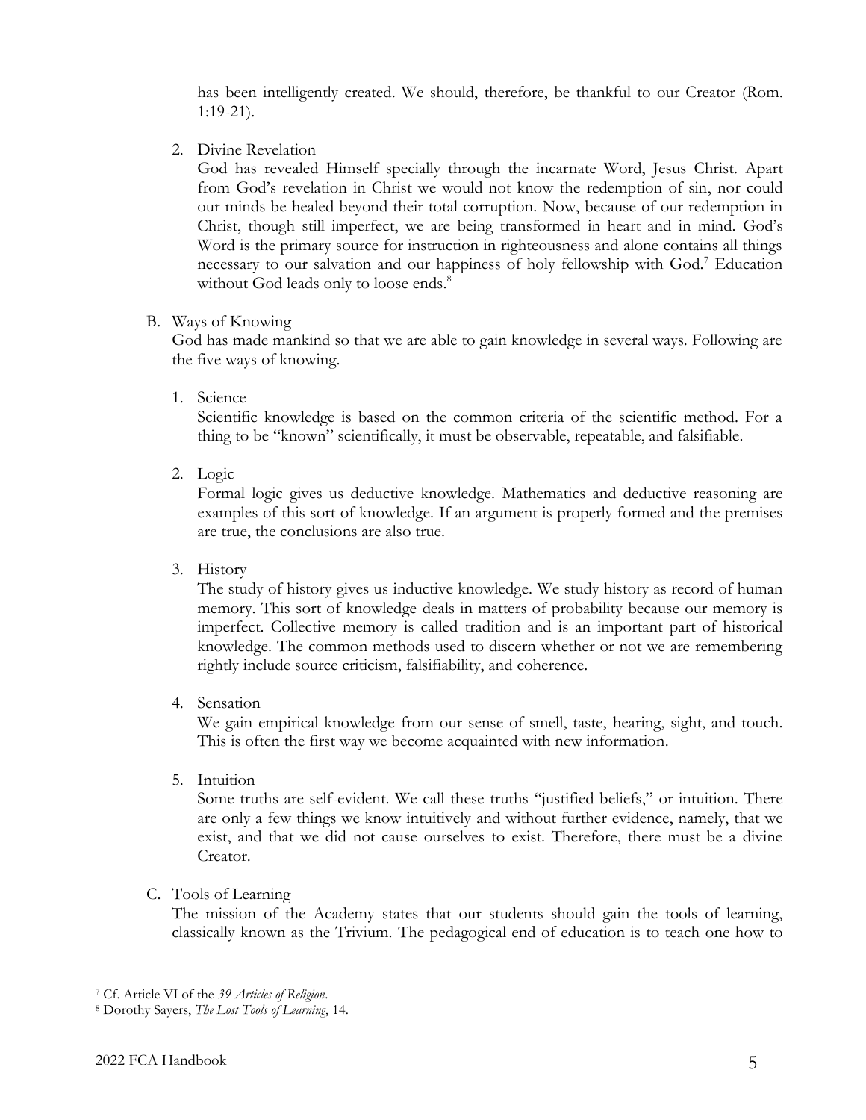has been intelligently created. We should, therefore, be thankful to our Creator (Rom. 1:19-21).

2. Divine Revelation

God has revealed Himself specially through the incarnate Word, Jesus Christ. Apart from God's revelation in Christ we would not know the redemption of sin, nor could our minds be healed beyond their total corruption. Now, because of our redemption in Christ, though still imperfect, we are being transformed in heart and in mind. God's Word is the primary source for instruction in righteousness and alone contains all things necessary to our salvation and our happiness of holy fellowship with God.<sup>7</sup> Education without God leads only to loose ends.<sup>8</sup>

#### B. Ways of Knowing

God has made mankind so that we are able to gain knowledge in several ways. Following are the five ways of knowing.

1. Science

Scientific knowledge is based on the common criteria of the scientific method. For a thing to be "known" scientifically, it must be observable, repeatable, and falsifiable.

2. Logic

Formal logic gives us deductive knowledge. Mathematics and deductive reasoning are examples of this sort of knowledge. If an argument is properly formed and the premises are true, the conclusions are also true.

3. History

The study of history gives us inductive knowledge. We study history as record of human memory. This sort of knowledge deals in matters of probability because our memory is imperfect. Collective memory is called tradition and is an important part of historical knowledge. The common methods used to discern whether or not we are remembering rightly include source criticism, falsifiability, and coherence.

4. Sensation

We gain empirical knowledge from our sense of smell, taste, hearing, sight, and touch. This is often the first way we become acquainted with new information.

5. Intuition

Some truths are self-evident. We call these truths "justified beliefs," or intuition. There are only a few things we know intuitively and without further evidence, namely, that we exist, and that we did not cause ourselves to exist. Therefore, there must be a divine Creator.

C. Tools of Learning

The mission of the Academy states that our students should gain the tools of learning, classically known as the Trivium. The pedagogical end of education is to teach one how to

<sup>7</sup> Cf. Article VI of the *39 Articles of Religion*.

<sup>8</sup> Dorothy Sayers, *The Lost Tools of Learning*, 14.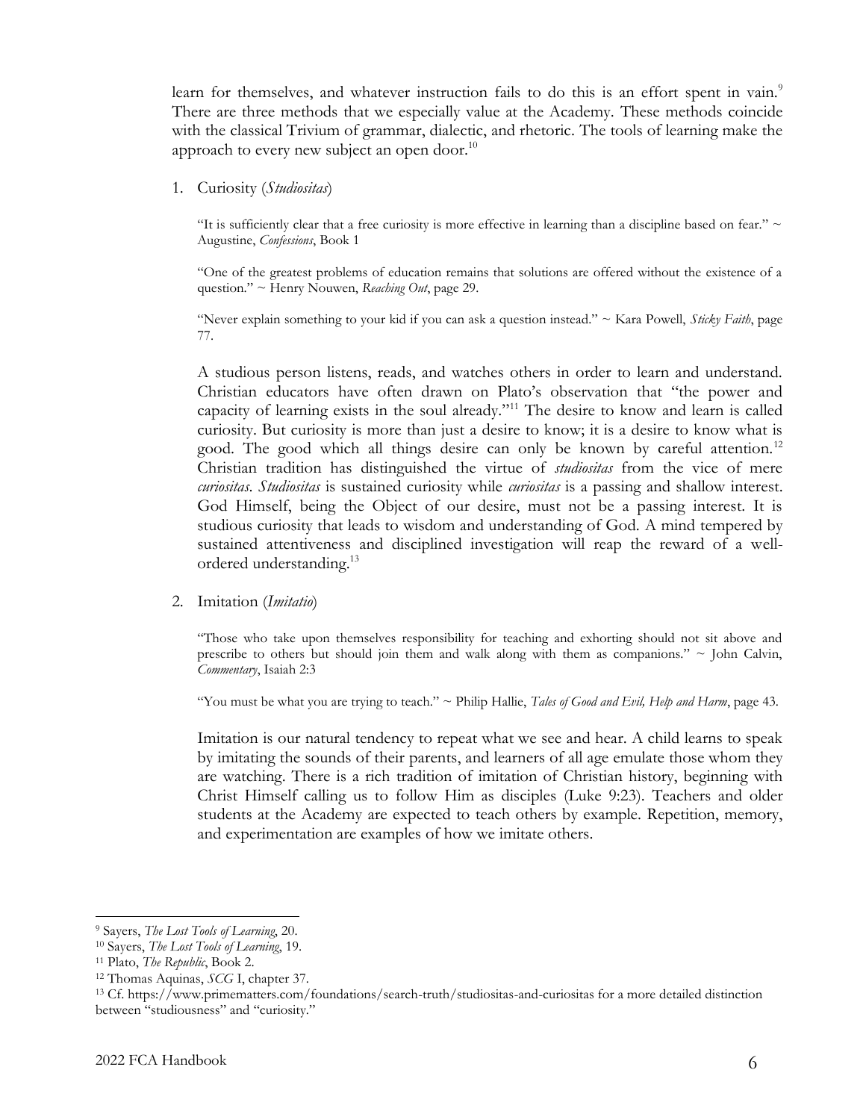learn for themselves, and whatever instruction fails to do this is an effort spent in vain.<sup>9</sup> There are three methods that we especially value at the Academy. These methods coincide with the classical Trivium of grammar, dialectic, and rhetoric. The tools of learning make the approach to every new subject an open door.<sup>10</sup>

1. Curiosity (*Studiositas*)

"It is sufficiently clear that a free curiosity is more effective in learning than a discipline based on fear."  $\sim$ Augustine, *Confessions*, Book 1

"One of the greatest problems of education remains that solutions are offered without the existence of a question." ~ Henry Nouwen, *Reaching Out*, page 29.

"Never explain something to your kid if you can ask a question instead." ~ Kara Powell, *Sticky Faith*, page 77.

A studious person listens, reads, and watches others in order to learn and understand. Christian educators have often drawn on Plato's observation that "the power and capacity of learning exists in the soul already."<sup>11</sup> The desire to know and learn is called curiosity. But curiosity is more than just a desire to know; it is a desire to know what is good. The good which all things desire can only be known by careful attention.<sup>12</sup> Christian tradition has distinguished the virtue of *studiositas* from the vice of mere *curiositas*. *Studiositas* is sustained curiosity while *curiositas* is a passing and shallow interest. God Himself, being the Object of our desire, must not be a passing interest. It is studious curiosity that leads to wisdom and understanding of God. A mind tempered by sustained attentiveness and disciplined investigation will reap the reward of a wellordered understanding.<sup>13</sup>

2. Imitation (*Imitatio*)

"Those who take upon themselves responsibility for teaching and exhorting should not sit above and prescribe to others but should join them and walk along with them as companions."  $\sim$  John Calvin, *Commentary*, Isaiah 2:3

"You must be what you are trying to teach." ~ Philip Hallie, *Tales of Good and Evil, Help and Harm*, page 43.

Imitation is our natural tendency to repeat what we see and hear. A child learns to speak by imitating the sounds of their parents, and learners of all age emulate those whom they are watching. There is a rich tradition of imitation of Christian history, beginning with Christ Himself calling us to follow Him as disciples (Luke 9:23). Teachers and older students at the Academy are expected to teach others by example. Repetition, memory, and experimentation are examples of how we imitate others.

<sup>9</sup> Sayers, *The Lost Tools of Learning*, 20.

<sup>10</sup> Sayers, *The Lost Tools of Learning*, 19.

<sup>11</sup> Plato, *The Republic*, Book 2.

<sup>12</sup> Thomas Aquinas, *SCG* I, chapter 37.

<sup>13</sup> Cf. https://www.primematters.com/foundations/search-truth/studiositas-and-curiositas for a more detailed distinction between "studiousness" and "curiosity."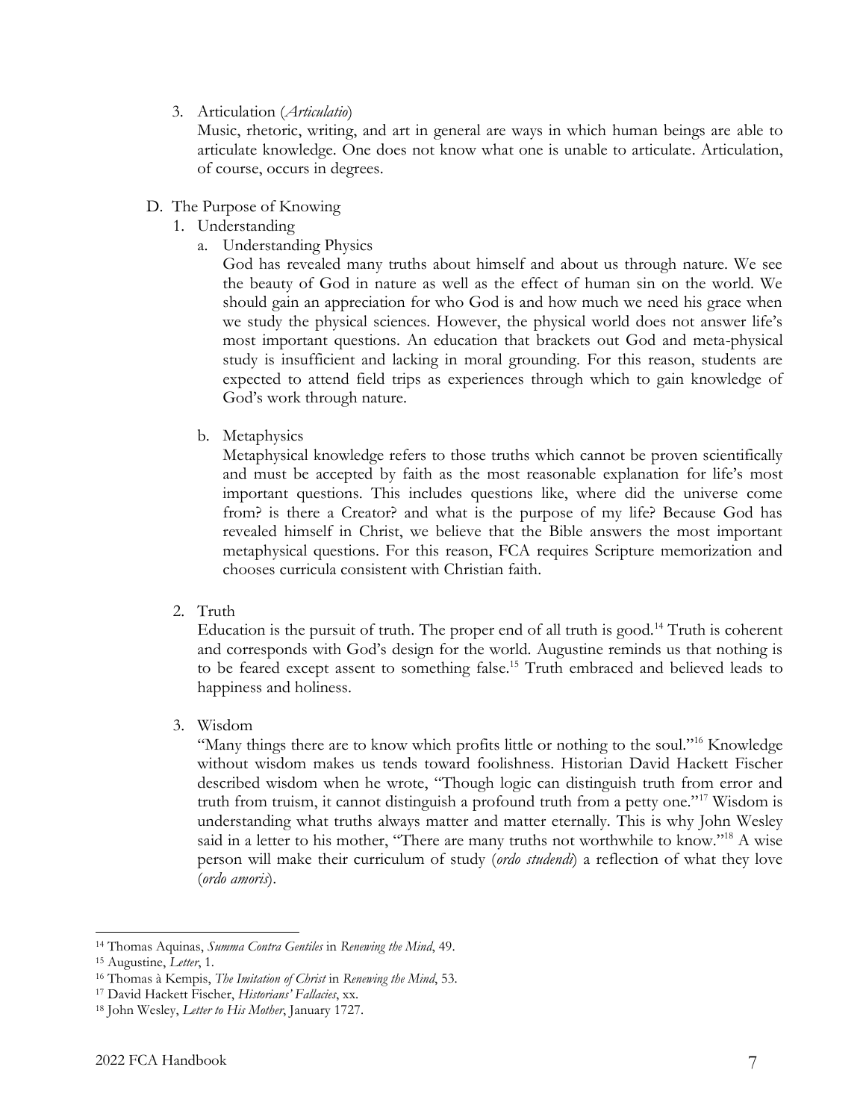### 3. Articulation (*Articulatio*)

Music, rhetoric, writing, and art in general are ways in which human beings are able to articulate knowledge. One does not know what one is unable to articulate. Articulation, of course, occurs in degrees.

### D. The Purpose of Knowing

- 1. Understanding
	- a. Understanding Physics

God has revealed many truths about himself and about us through nature. We see the beauty of God in nature as well as the effect of human sin on the world. We should gain an appreciation for who God is and how much we need his grace when we study the physical sciences. However, the physical world does not answer life's most important questions. An education that brackets out God and meta-physical study is insufficient and lacking in moral grounding. For this reason, students are expected to attend field trips as experiences through which to gain knowledge of God's work through nature.

b. Metaphysics

Metaphysical knowledge refers to those truths which cannot be proven scientifically and must be accepted by faith as the most reasonable explanation for life's most important questions. This includes questions like, where did the universe come from? is there a Creator? and what is the purpose of my life? Because God has revealed himself in Christ, we believe that the Bible answers the most important metaphysical questions. For this reason, FCA requires Scripture memorization and chooses curricula consistent with Christian faith.

2. Truth

Education is the pursuit of truth. The proper end of all truth is good.<sup>14</sup> Truth is coherent and corresponds with God's design for the world. Augustine reminds us that nothing is to be feared except assent to something false.<sup>15</sup> Truth embraced and believed leads to happiness and holiness.

3. Wisdom

"Many things there are to know which profits little or nothing to the soul."<sup>16</sup> Knowledge without wisdom makes us tends toward foolishness. Historian David Hackett Fischer described wisdom when he wrote, "Though logic can distinguish truth from error and truth from truism, it cannot distinguish a profound truth from a petty one."<sup>17</sup> Wisdom is understanding what truths always matter and matter eternally. This is why John Wesley said in a letter to his mother, "There are many truths not worthwhile to know."<sup>18</sup> A wise person will make their curriculum of study (*ordo studendi*) a reflection of what they love (*ordo amoris*).

<sup>14</sup> Thomas Aquinas, *Summa Contra Gentiles* in *Renewing the Mind*, 49.

<sup>15</sup> Augustine, *Letter*, 1.

<sup>16</sup> Thomas à Kempis, *The Imitation of Christ* in *Renewing the Mind*, 53.

<sup>17</sup> David Hackett Fischer, *Historians' Fallacies*, xx.

<sup>18</sup> John Wesley, *Letter to His Mother*, January 1727.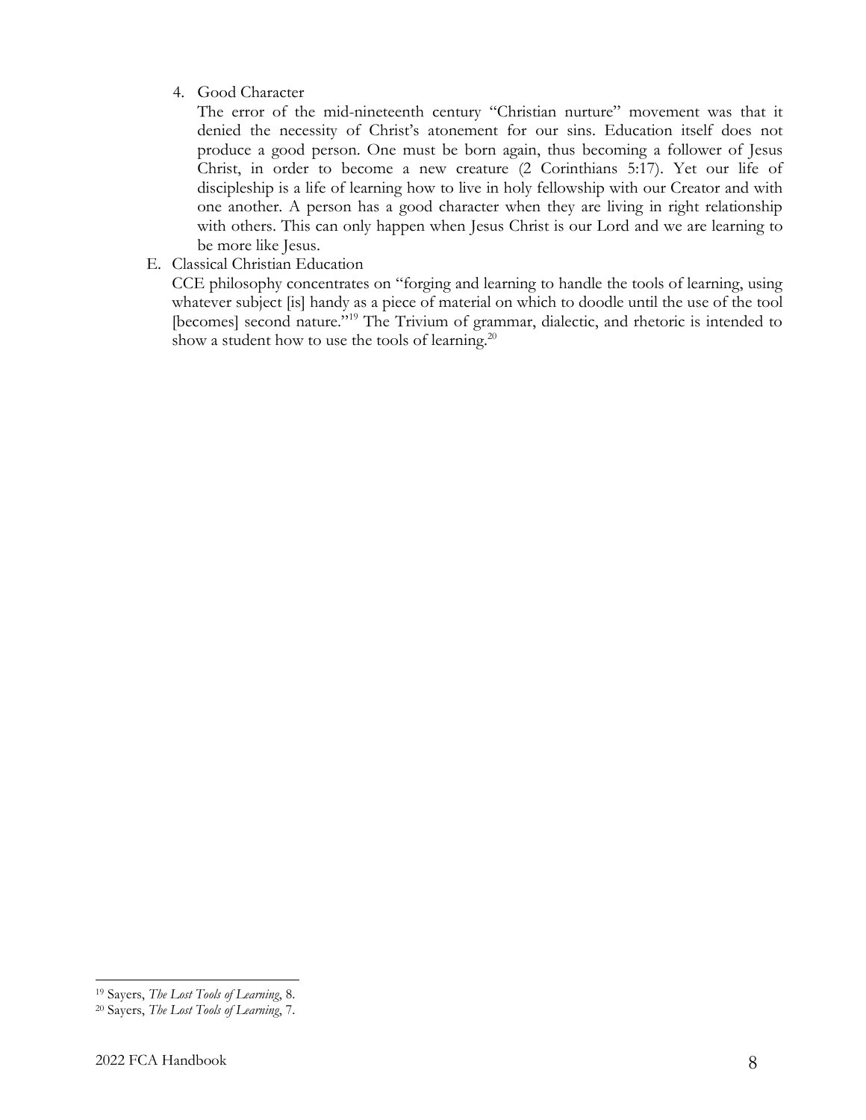### 4. Good Character

The error of the mid-nineteenth century "Christian nurture" movement was that it denied the necessity of Christ's atonement for our sins. Education itself does not produce a good person. One must be born again, thus becoming a follower of Jesus Christ, in order to become a new creature (2 Corinthians 5:17). Yet our life of discipleship is a life of learning how to live in holy fellowship with our Creator and with one another. A person has a good character when they are living in right relationship with others. This can only happen when Jesus Christ is our Lord and we are learning to be more like Jesus.

E. Classical Christian Education

CCE philosophy concentrates on "forging and learning to handle the tools of learning, using whatever subject [is] handy as a piece of material on which to doodle until the use of the tool [becomes] second nature."<sup>19</sup> The Trivium of grammar, dialectic, and rhetoric is intended to show a student how to use the tools of learning.<sup>20</sup>

<sup>19</sup> Sayers, *The Lost Tools of Learning*, 8.

<sup>20</sup> Sayers, *The Lost Tools of Learning*, 7.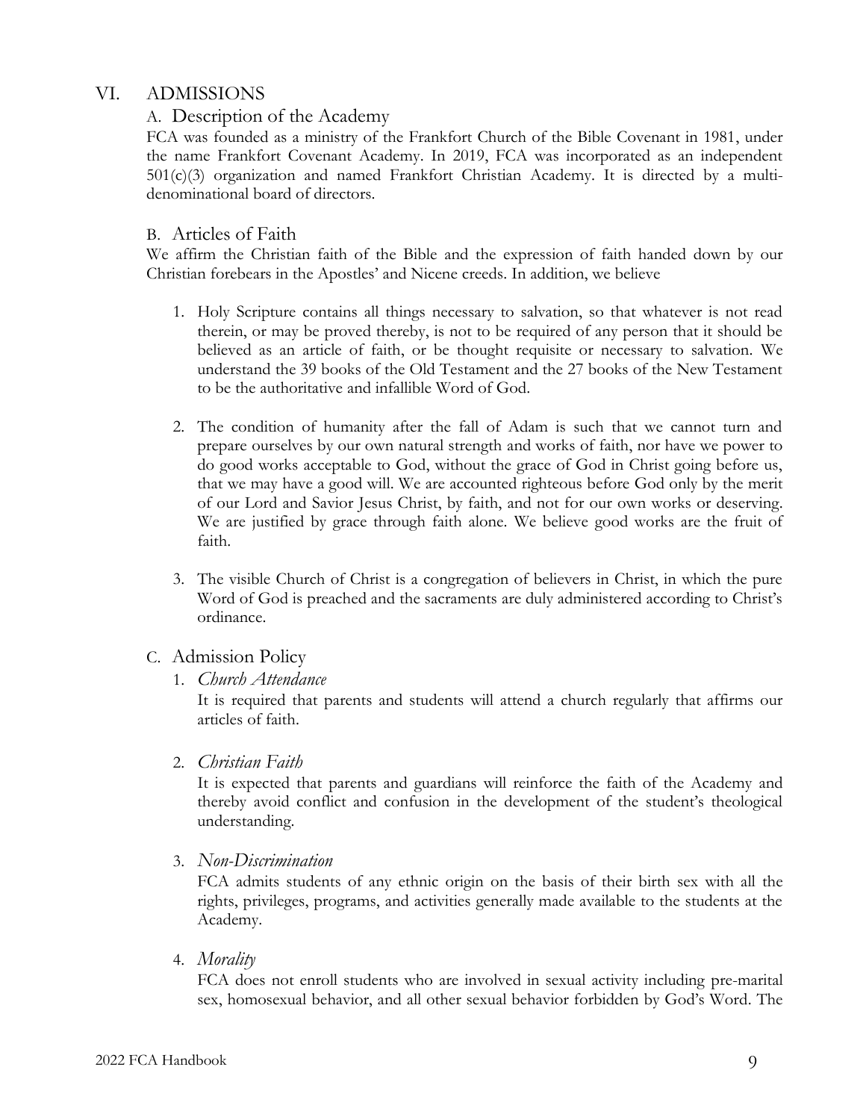## VI. ADMISSIONS

## A. Description of the Academy

FCA was founded as a ministry of the Frankfort Church of the Bible Covenant in 1981, under the name Frankfort Covenant Academy. In 2019, FCA was incorporated as an independent 501(c)(3) organization and named Frankfort Christian Academy. It is directed by a multidenominational board of directors.

## B. Articles of Faith

We affirm the Christian faith of the Bible and the expression of faith handed down by our Christian forebears in the Apostles' and Nicene creeds. In addition, we believe

- 1. Holy Scripture contains all things necessary to salvation, so that whatever is not read therein, or may be proved thereby, is not to be required of any person that it should be believed as an article of faith, or be thought requisite or necessary to salvation. We understand the 39 books of the Old Testament and the 27 books of the New Testament to be the authoritative and infallible Word of God.
- 2. The condition of humanity after the fall of Adam is such that we cannot turn and prepare ourselves by our own natural strength and works of faith, nor have we power to do good works acceptable to God, without the grace of God in Christ going before us, that we may have a good will. We are accounted righteous before God only by the merit of our Lord and Savior Jesus Christ, by faith, and not for our own works or deserving. We are justified by grace through faith alone. We believe good works are the fruit of faith.
- 3. The visible Church of Christ is a congregation of believers in Christ, in which the pure Word of God is preached and the sacraments are duly administered according to Christ's ordinance.

## C. Admission Policy

1. *Church Attendance*

It is required that parents and students will attend a church regularly that affirms our articles of faith.

2. *Christian Faith*

It is expected that parents and guardians will reinforce the faith of the Academy and thereby avoid conflict and confusion in the development of the student's theological understanding.

3. *Non-Discrimination*

FCA admits students of any ethnic origin on the basis of their birth sex with all the rights, privileges, programs, and activities generally made available to the students at the Academy.

4. *Morality*

FCA does not enroll students who are involved in sexual activity including pre-marital sex, homosexual behavior, and all other sexual behavior forbidden by God's Word. The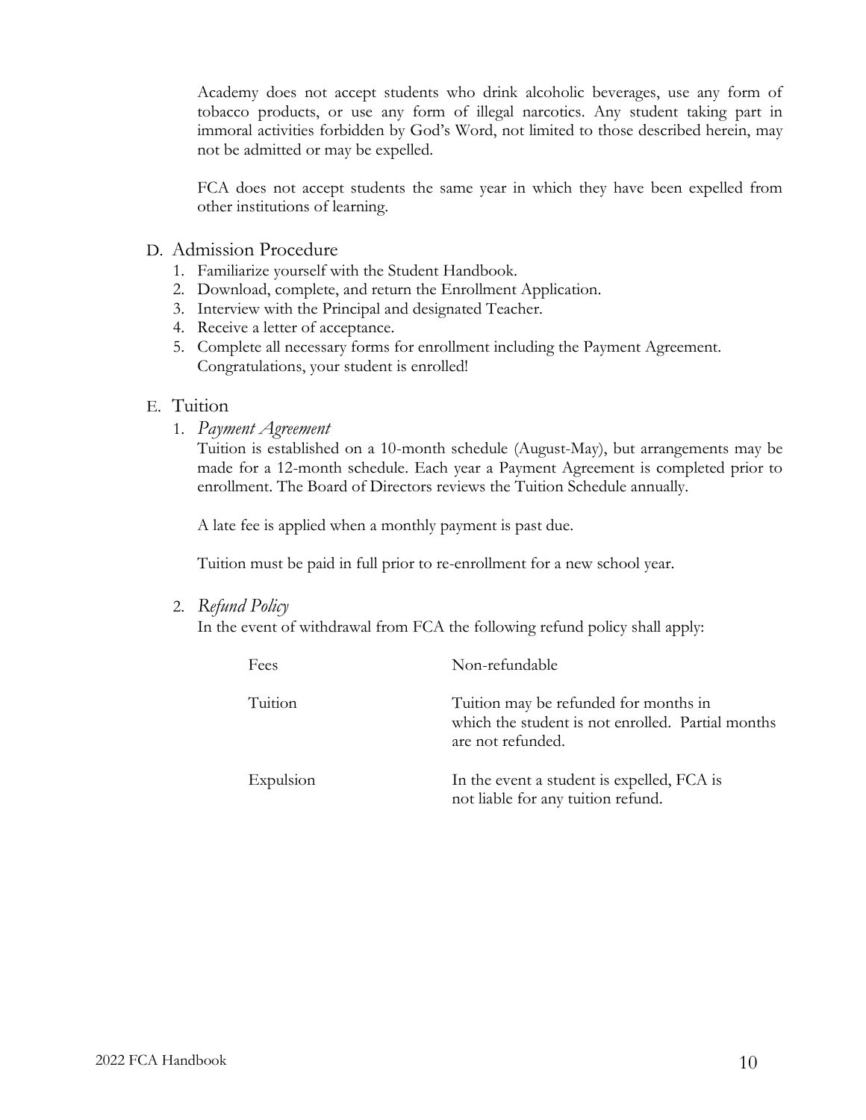Academy does not accept students who drink alcoholic beverages, use any form of tobacco products, or use any form of illegal narcotics. Any student taking part in immoral activities forbidden by God's Word, not limited to those described herein, may not be admitted or may be expelled.

FCA does not accept students the same year in which they have been expelled from other institutions of learning.

- D. Admission Procedure
	- 1. Familiarize yourself with the Student Handbook.
	- 2. Download, complete, and return the Enrollment Application.
	- 3. Interview with the Principal and designated Teacher.
	- 4. Receive a letter of acceptance.
	- 5. Complete all necessary forms for enrollment including the Payment Agreement. Congratulations, your student is enrolled!

#### E. Tuition

1. *Payment Agreement*

Tuition is established on a 10-month schedule (August-May), but arrangements may be made for a 12-month schedule. Each year a Payment Agreement is completed prior to enrollment. The Board of Directors reviews the Tuition Schedule annually.

A late fee is applied when a monthly payment is past due.

Tuition must be paid in full prior to re-enrollment for a new school year.

2. *Refund Policy*

In the event of withdrawal from FCA the following refund policy shall apply:

| Fees      | Non-refundable                                                                                                  |
|-----------|-----------------------------------------------------------------------------------------------------------------|
| Tuition   | Tuition may be refunded for months in<br>which the student is not enrolled. Partial months<br>are not refunded. |
| Expulsion | In the event a student is expelled, FCA is<br>not liable for any tuition refund.                                |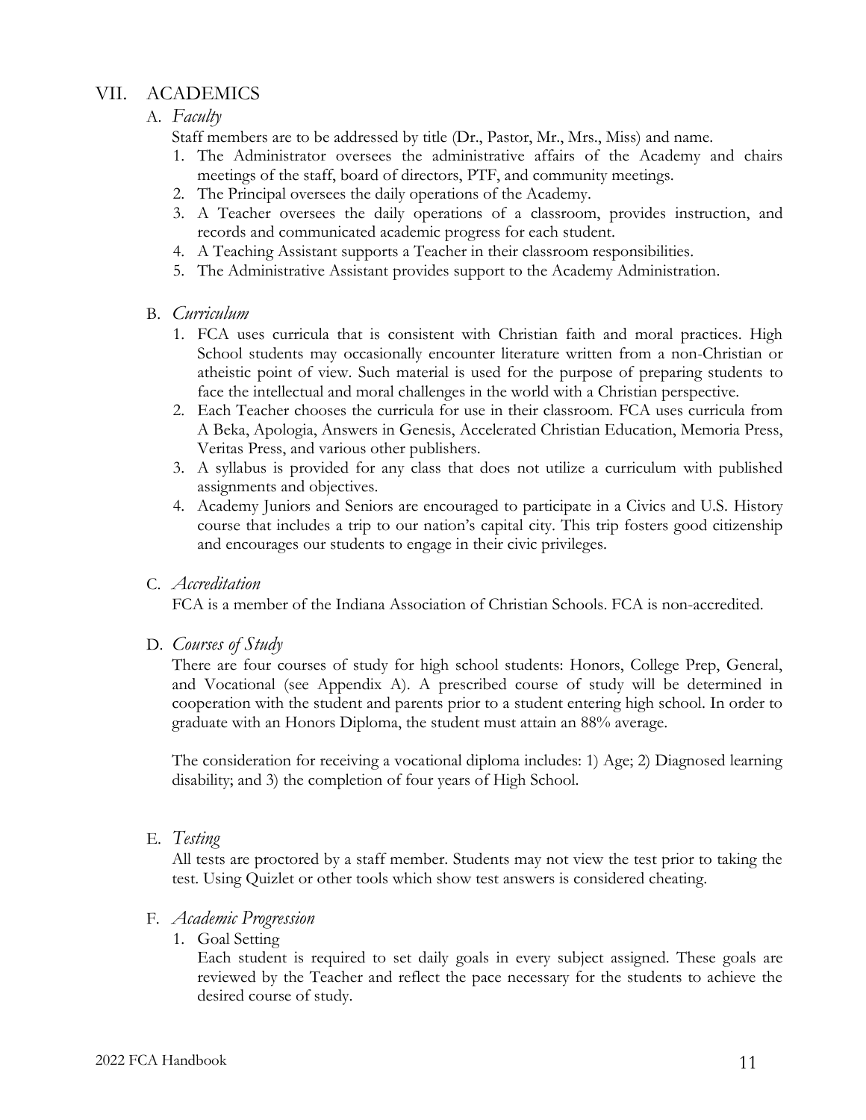## VII. ACADEMICS

## A. *Faculty*

Staff members are to be addressed by title (Dr., Pastor, Mr., Mrs., Miss) and name.

- 1. The Administrator oversees the administrative affairs of the Academy and chairs meetings of the staff, board of directors, PTF, and community meetings.
- 2. The Principal oversees the daily operations of the Academy.
- 3. A Teacher oversees the daily operations of a classroom, provides instruction, and records and communicated academic progress for each student.
- 4. A Teaching Assistant supports a Teacher in their classroom responsibilities.
- 5. The Administrative Assistant provides support to the Academy Administration.
- B. *Curriculum*
	- 1. FCA uses curricula that is consistent with Christian faith and moral practices. High School students may occasionally encounter literature written from a non-Christian or atheistic point of view. Such material is used for the purpose of preparing students to face the intellectual and moral challenges in the world with a Christian perspective.
	- 2. Each Teacher chooses the curricula for use in their classroom. FCA uses curricula from A Beka, Apologia, Answers in Genesis, Accelerated Christian Education, Memoria Press, Veritas Press, and various other publishers.
	- 3. A syllabus is provided for any class that does not utilize a curriculum with published assignments and objectives.
	- 4. Academy Juniors and Seniors are encouraged to participate in a Civics and U.S. History course that includes a trip to our nation's capital city. This trip fosters good citizenship and encourages our students to engage in their civic privileges.

### C. *Accreditation*

FCA is a member of the Indiana Association of Christian Schools. FCA is non-accredited.

#### D. *Courses of Study*

There are four courses of study for high school students: Honors, College Prep, General, and Vocational (see Appendix A). A prescribed course of study will be determined in cooperation with the student and parents prior to a student entering high school. In order to graduate with an Honors Diploma, the student must attain an 88% average.

The consideration for receiving a vocational diploma includes: 1) Age; 2) Diagnosed learning disability; and 3) the completion of four years of High School.

#### E. *Testing*

All tests are proctored by a staff member. Students may not view the test prior to taking the test. Using Quizlet or other tools which show test answers is considered cheating.

#### F. *Academic Progression*

1. Goal Setting

Each student is required to set daily goals in every subject assigned. These goals are reviewed by the Teacher and reflect the pace necessary for the students to achieve the desired course of study.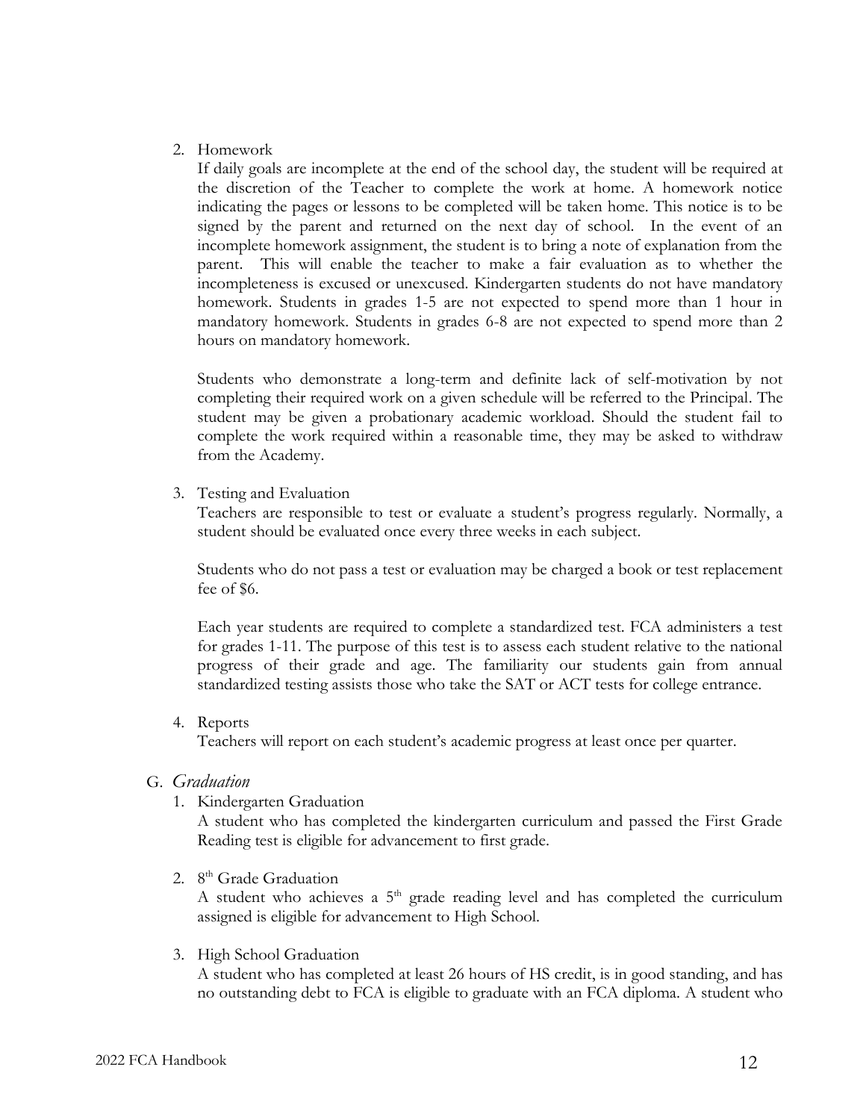#### 2. Homework

If daily goals are incomplete at the end of the school day, the student will be required at the discretion of the Teacher to complete the work at home. A homework notice indicating the pages or lessons to be completed will be taken home. This notice is to be signed by the parent and returned on the next day of school. In the event of an incomplete homework assignment, the student is to bring a note of explanation from the parent. This will enable the teacher to make a fair evaluation as to whether the incompleteness is excused or unexcused. Kindergarten students do not have mandatory homework. Students in grades 1-5 are not expected to spend more than 1 hour in mandatory homework. Students in grades 6-8 are not expected to spend more than 2 hours on mandatory homework.

Students who demonstrate a long-term and definite lack of self-motivation by not completing their required work on a given schedule will be referred to the Principal. The student may be given a probationary academic workload. Should the student fail to complete the work required within a reasonable time, they may be asked to withdraw from the Academy.

3. Testing and Evaluation

Teachers are responsible to test or evaluate a student's progress regularly. Normally, a student should be evaluated once every three weeks in each subject.

Students who do not pass a test or evaluation may be charged a book or test replacement fee of \$6.

Each year students are required to complete a standardized test. FCA administers a test for grades 1-11. The purpose of this test is to assess each student relative to the national progress of their grade and age. The familiarity our students gain from annual standardized testing assists those who take the SAT or ACT tests for college entrance.

4. Reports

Teachers will report on each student's academic progress at least once per quarter.

- G. *Graduation*
	- 1. Kindergarten Graduation

A student who has completed the kindergarten curriculum and passed the First Grade Reading test is eligible for advancement to first grade.

2. 8<sup>th</sup> Grade Graduation

A student who achieves a  $5<sup>th</sup>$  grade reading level and has completed the curriculum assigned is eligible for advancement to High School.

3. High School Graduation

A student who has completed at least 26 hours of HS credit, is in good standing, and has no outstanding debt to FCA is eligible to graduate with an FCA diploma. A student who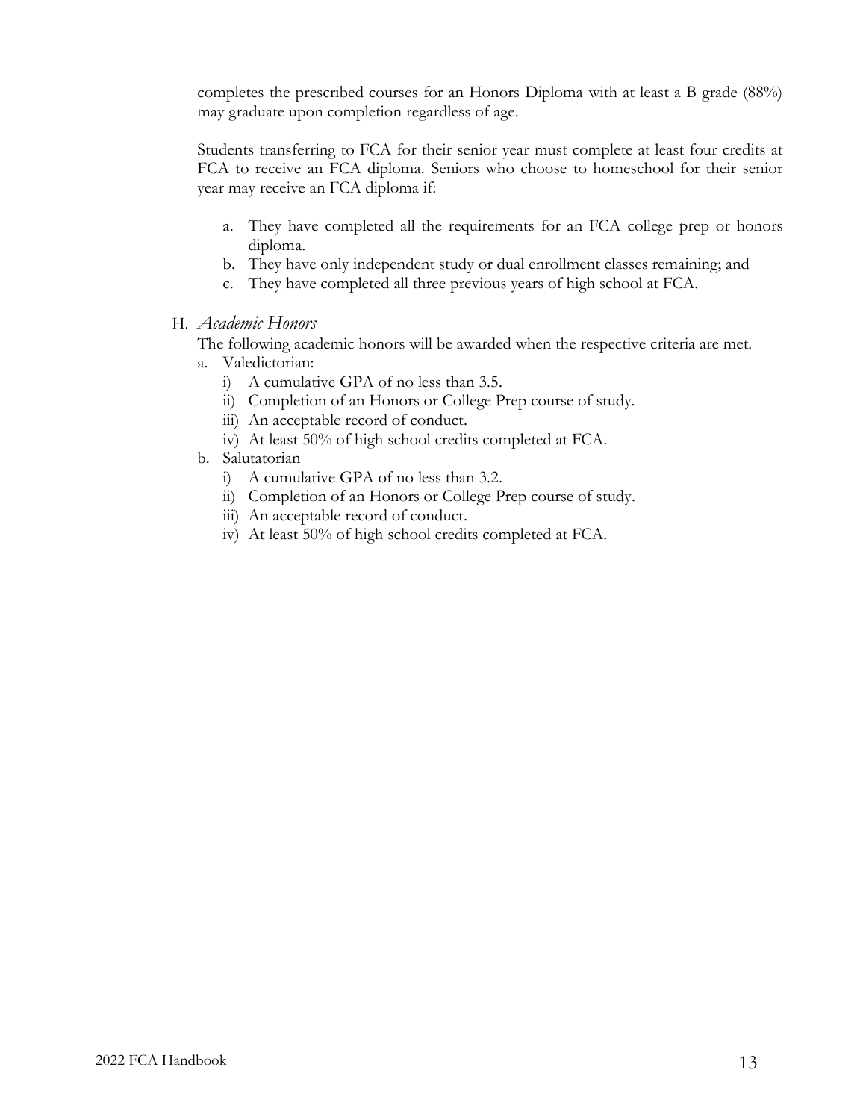completes the prescribed courses for an Honors Diploma with at least a B grade (88%) may graduate upon completion regardless of age.

Students transferring to FCA for their senior year must complete at least four credits at FCA to receive an FCA diploma. Seniors who choose to homeschool for their senior year may receive an FCA diploma if:

- a. They have completed all the requirements for an FCA college prep or honors diploma.
- b. They have only independent study or dual enrollment classes remaining; and
- c. They have completed all three previous years of high school at FCA.
- H. *Academic Honors*

The following academic honors will be awarded when the respective criteria are met.

- a. Valedictorian:
	- i) A cumulative GPA of no less than 3.5.
	- ii) Completion of an Honors or College Prep course of study.
	- iii) An acceptable record of conduct.
	- iv) At least 50% of high school credits completed at FCA.
- b. Salutatorian
	- i) A cumulative GPA of no less than 3.2.
	- ii) Completion of an Honors or College Prep course of study.
	- iii) An acceptable record of conduct.
	- iv) At least 50% of high school credits completed at FCA.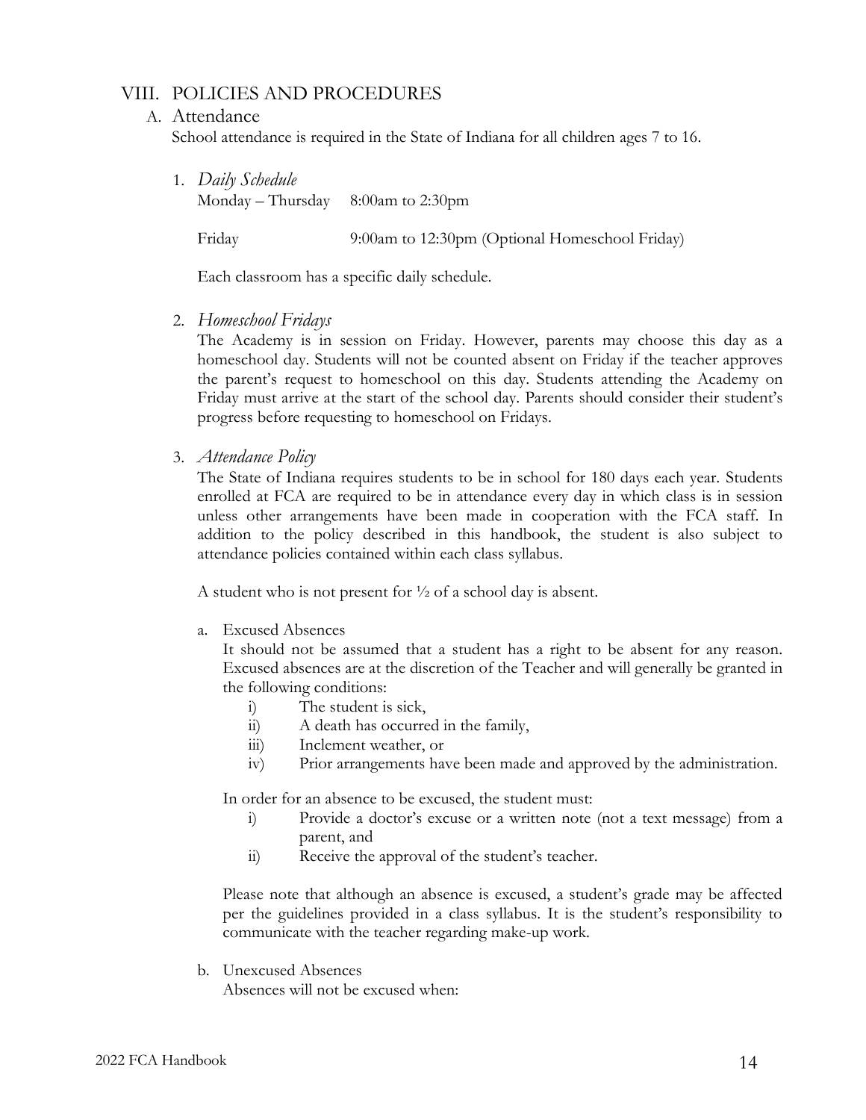## VIII. POLICIES AND PROCEDURES

#### A. Attendance

School attendance is required in the State of Indiana for all children ages 7 to 16.

1. *Daily Schedule*

Monday – Thursday 8:00am to 2:30pm

Friday 9:00am to 12:30pm (Optional Homeschool Friday)

Each classroom has a specific daily schedule.

2. *Homeschool Fridays*

The Academy is in session on Friday. However, parents may choose this day as a homeschool day. Students will not be counted absent on Friday if the teacher approves the parent's request to homeschool on this day. Students attending the Academy on Friday must arrive at the start of the school day. Parents should consider their student's progress before requesting to homeschool on Fridays.

3. *Attendance Policy*

The State of Indiana requires students to be in school for 180 days each year. Students enrolled at FCA are required to be in attendance every day in which class is in session unless other arrangements have been made in cooperation with the FCA staff. In addition to the policy described in this handbook, the student is also subject to attendance policies contained within each class syllabus.

A student who is not present for ½ of a school day is absent.

a. Excused Absences

It should not be assumed that a student has a right to be absent for any reason. Excused absences are at the discretion of the Teacher and will generally be granted in the following conditions:

- i) The student is sick,
- ii) A death has occurred in the family,
- iii) Inclement weather, or
- iv) Prior arrangements have been made and approved by the administration.

In order for an absence to be excused, the student must:

- i) Provide a doctor's excuse or a written note (not a text message) from a parent, and
- ii) Receive the approval of the student's teacher.

Please note that although an absence is excused, a student's grade may be affected per the guidelines provided in a class syllabus. It is the student's responsibility to communicate with the teacher regarding make-up work.

b. Unexcused Absences

Absences will not be excused when: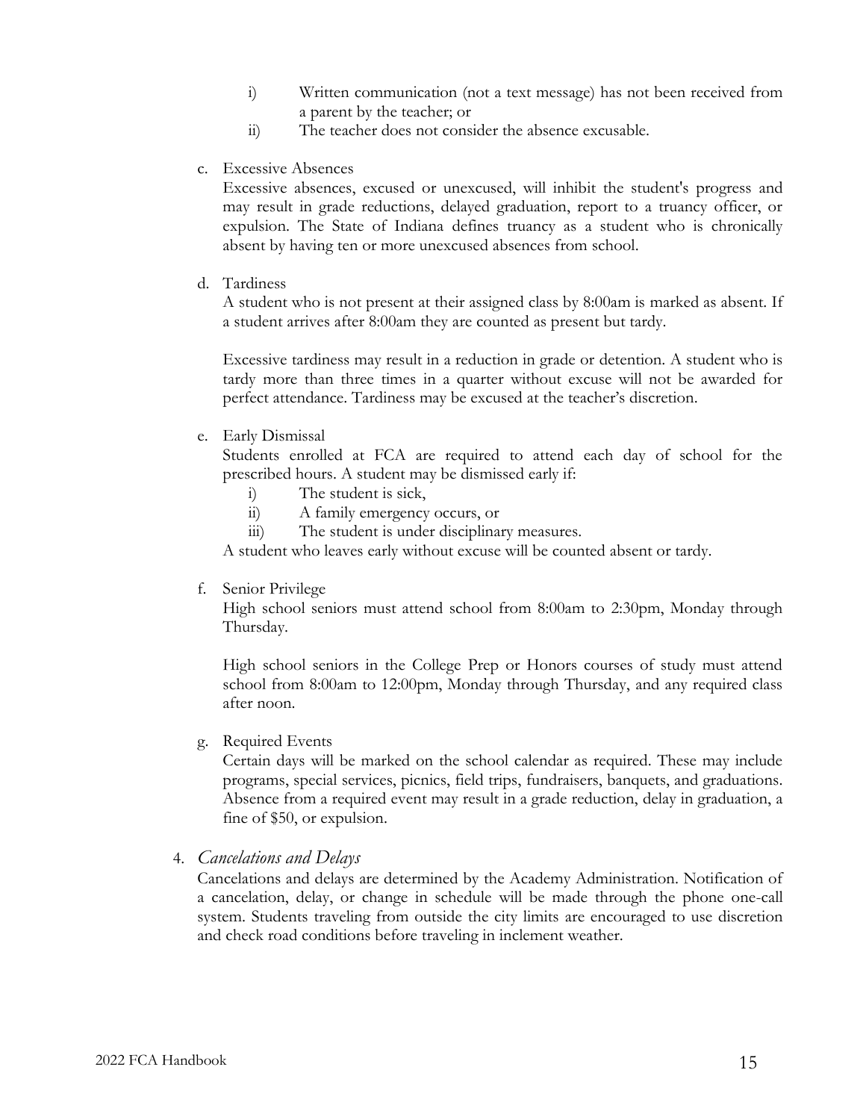- i) Written communication (not a text message) has not been received from a parent by the teacher; or
- ii) The teacher does not consider the absence excusable.
- c. Excessive Absences

Excessive absences, excused or unexcused, will inhibit the student's progress and may result in grade reductions, delayed graduation, report to a truancy officer, or expulsion. The State of Indiana defines truancy as a student who is chronically absent by having ten or more unexcused absences from school.

d. Tardiness

A student who is not present at their assigned class by 8:00am is marked as absent. If a student arrives after 8:00am they are counted as present but tardy.

Excessive tardiness may result in a reduction in grade or detention. A student who is tardy more than three times in a quarter without excuse will not be awarded for perfect attendance. Tardiness may be excused at the teacher's discretion.

e. Early Dismissal

Students enrolled at FCA are required to attend each day of school for the prescribed hours. A student may be dismissed early if:

- i) The student is sick,
- ii) A family emergency occurs, or
- iii) The student is under disciplinary measures.

A student who leaves early without excuse will be counted absent or tardy.

f. Senior Privilege

High school seniors must attend school from 8:00am to 2:30pm, Monday through Thursday.

High school seniors in the College Prep or Honors courses of study must attend school from 8:00am to 12:00pm, Monday through Thursday, and any required class after noon.

g. Required Events

Certain days will be marked on the school calendar as required. These may include programs, special services, picnics, field trips, fundraisers, banquets, and graduations. Absence from a required event may result in a grade reduction, delay in graduation, a fine of \$50, or expulsion.

4. *Cancelations and Delays*

Cancelations and delays are determined by the Academy Administration. Notification of a cancelation, delay, or change in schedule will be made through the phone one-call system. Students traveling from outside the city limits are encouraged to use discretion and check road conditions before traveling in inclement weather.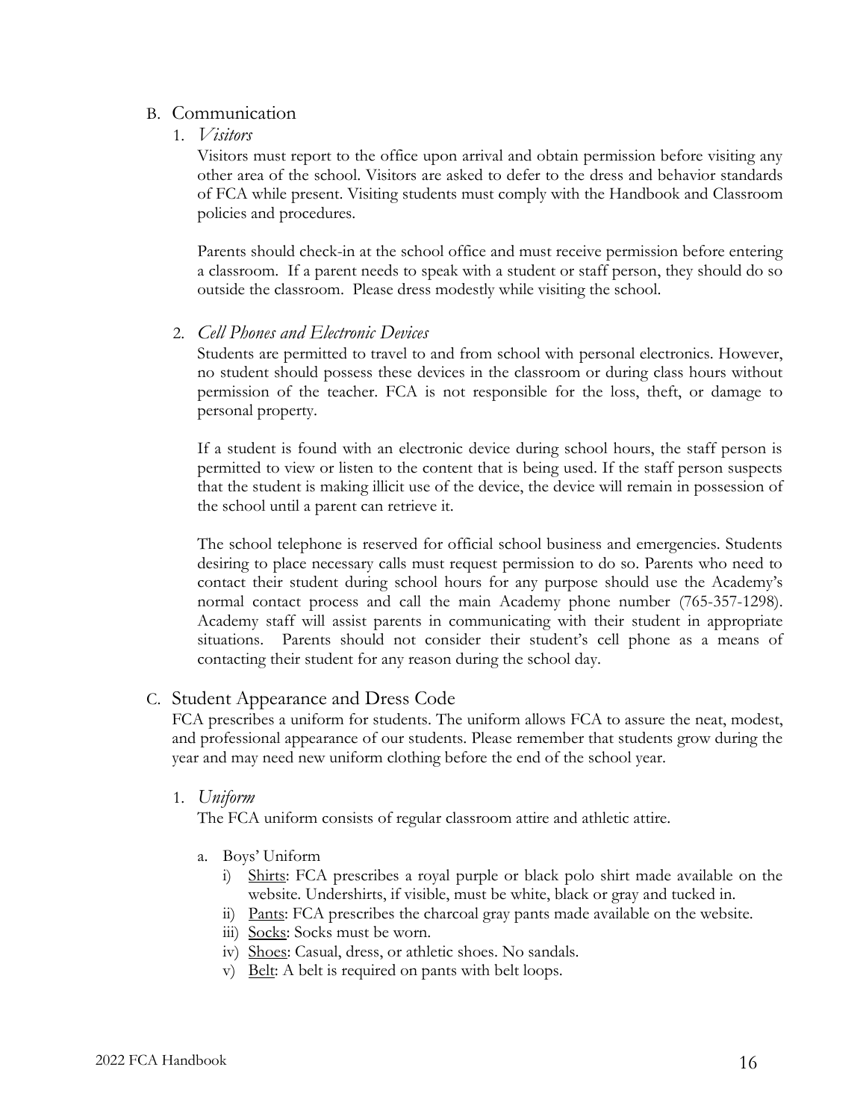## B. Communication

1. *Visitors*

Visitors must report to the office upon arrival and obtain permission before visiting any other area of the school. Visitors are asked to defer to the dress and behavior standards of FCA while present. Visiting students must comply with the Handbook and Classroom policies and procedures.

Parents should check-in at the school office and must receive permission before entering a classroom. If a parent needs to speak with a student or staff person, they should do so outside the classroom. Please dress modestly while visiting the school.

2. *Cell Phones and Electronic Devices*

Students are permitted to travel to and from school with personal electronics. However, no student should possess these devices in the classroom or during class hours without permission of the teacher. FCA is not responsible for the loss, theft, or damage to personal property.

If a student is found with an electronic device during school hours, the staff person is permitted to view or listen to the content that is being used. If the staff person suspects that the student is making illicit use of the device, the device will remain in possession of the school until a parent can retrieve it.

The school telephone is reserved for official school business and emergencies. Students desiring to place necessary calls must request permission to do so. Parents who need to contact their student during school hours for any purpose should use the Academy's normal contact process and call the main Academy phone number (765-357-1298). Academy staff will assist parents in communicating with their student in appropriate situations. Parents should not consider their student's cell phone as a means of contacting their student for any reason during the school day.

C. Student Appearance and Dress Code

FCA prescribes a uniform for students. The uniform allows FCA to assure the neat, modest, and professional appearance of our students. Please remember that students grow during the year and may need new uniform clothing before the end of the school year.

1. *Uniform*

The FCA uniform consists of regular classroom attire and athletic attire.

- a. Boys' Uniform
	- i) Shirts: FCA prescribes a royal purple or black polo shirt made available on the website. Undershirts, if visible, must be white, black or gray and tucked in.
	- ii) Pants: FCA prescribes the charcoal gray pants made available on the website.
	- iii) Socks: Socks must be worn.
	- iv) Shoes: Casual, dress, or athletic shoes. No sandals.
	- v) Belt: A belt is required on pants with belt loops.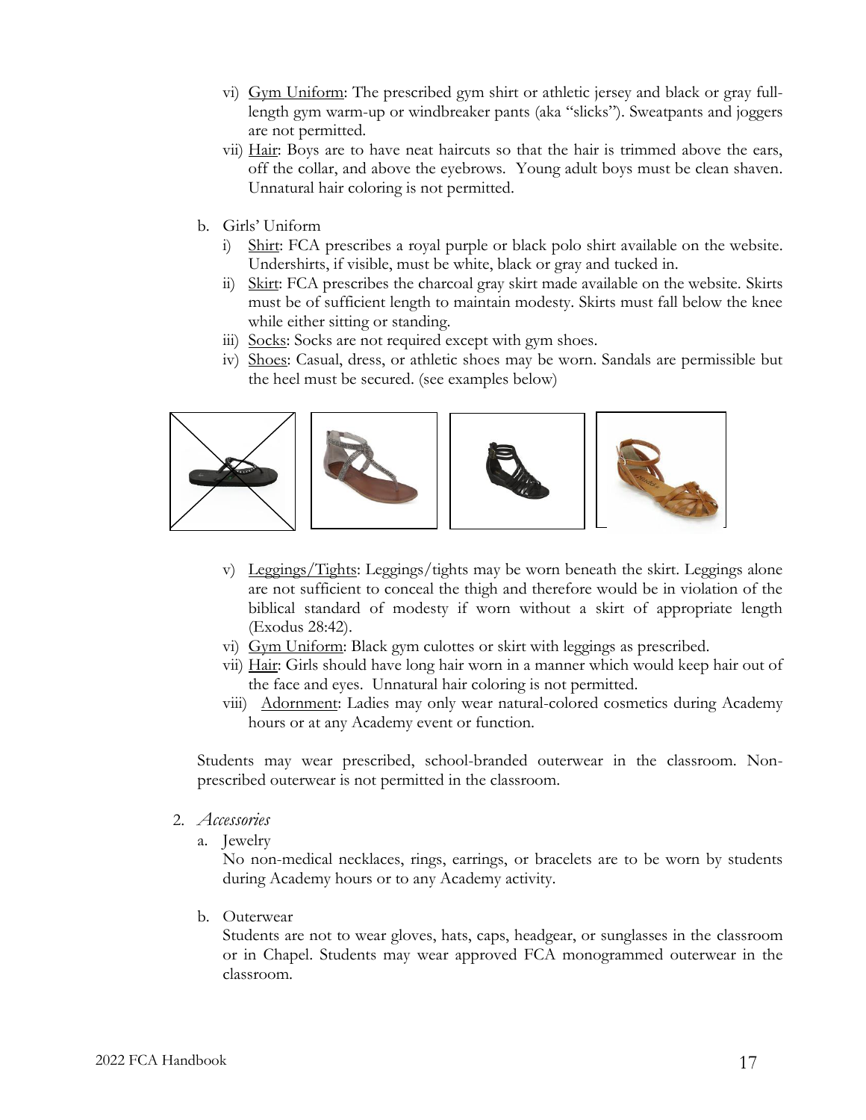- vi) Gym Uniform: The prescribed gym shirt or athletic jersey and black or gray fulllength gym warm-up or windbreaker pants (aka "slicks"). Sweatpants and joggers are not permitted.
- vii) Hair: Boys are to have neat haircuts so that the hair is trimmed above the ears, off the collar, and above the eyebrows. Young adult boys must be clean shaven. Unnatural hair coloring is not permitted.
- b. Girls' Uniform
	- i) Shirt: FCA prescribes a royal purple or black polo shirt available on the website. Undershirts, if visible, must be white, black or gray and tucked in.
	- ii) Skirt: FCA prescribes the charcoal gray skirt made available on the website. Skirts must be of sufficient length to maintain modesty. Skirts must fall below the knee while either sitting or standing.
	- iii) Socks: Socks are not required except with gym shoes.
	- iv) Shoes: Casual, dress, or athletic shoes may be worn. Sandals are permissible but the heel must be secured. (see examples below)



- v) Leggings/Tights: Leggings/tights may be worn beneath the skirt. Leggings alone are not sufficient to conceal the thigh and therefore would be in violation of the biblical standard of modesty if worn without a skirt of appropriate length (Exodus 28:42).
- vi) Gym Uniform: Black gym culottes or skirt with leggings as prescribed.
- vii) Hair: Girls should have long hair worn in a manner which would keep hair out of the face and eyes. Unnatural hair coloring is not permitted.
- viii) Adornment: Ladies may only wear natural-colored cosmetics during Academy hours or at any Academy event or function.

Students may wear prescribed, school-branded outerwear in the classroom. Nonprescribed outerwear is not permitted in the classroom.

- 2. *Accessories*
	- a. Jewelry

No non-medical necklaces, rings, earrings, or bracelets are to be worn by students during Academy hours or to any Academy activity.

b. Outerwear

Students are not to wear gloves, hats, caps, headgear, or sunglasses in the classroom or in Chapel. Students may wear approved FCA monogrammed outerwear in the classroom.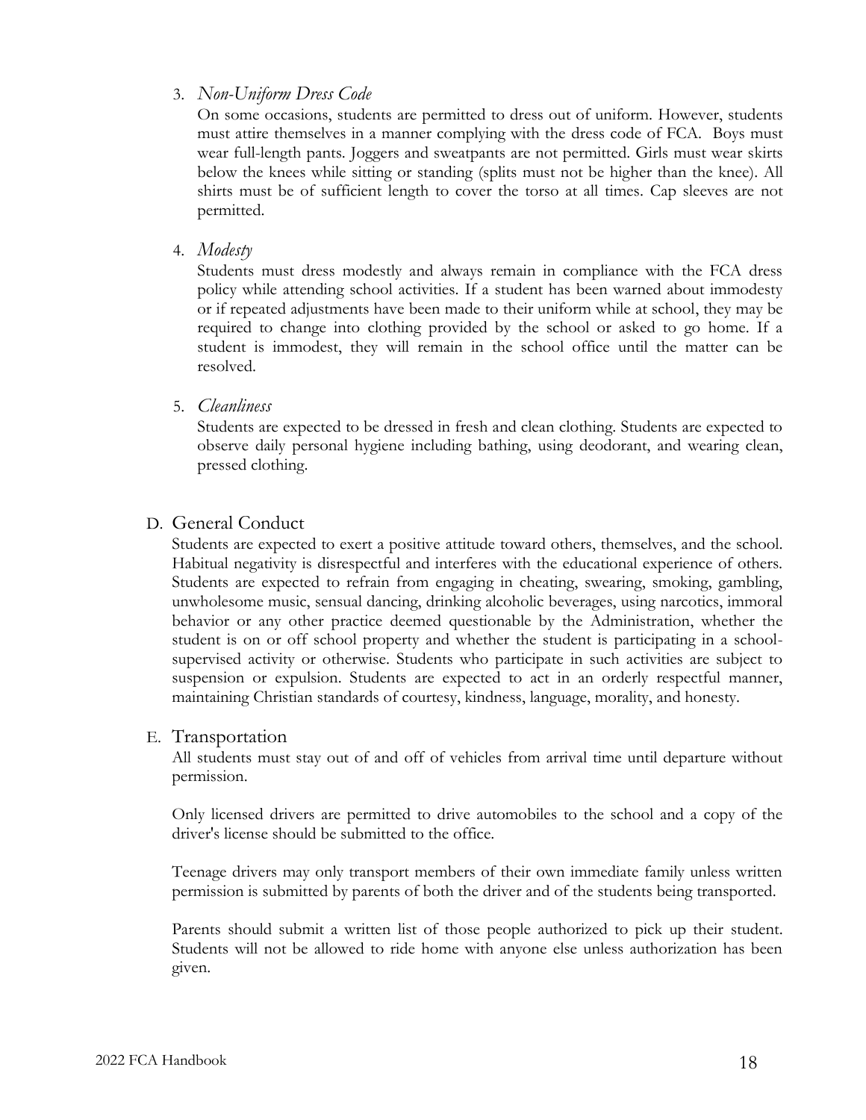## 3. *Non-Uniform Dress Code*

On some occasions, students are permitted to dress out of uniform. However, students must attire themselves in a manner complying with the dress code of FCA. Boys must wear full-length pants. Joggers and sweatpants are not permitted. Girls must wear skirts below the knees while sitting or standing (splits must not be higher than the knee). All shirts must be of sufficient length to cover the torso at all times. Cap sleeves are not permitted.

4. *Modesty*

Students must dress modestly and always remain in compliance with the FCA dress policy while attending school activities. If a student has been warned about immodesty or if repeated adjustments have been made to their uniform while at school, they may be required to change into clothing provided by the school or asked to go home. If a student is immodest, they will remain in the school office until the matter can be resolved.

5. *Cleanliness*

Students are expected to be dressed in fresh and clean clothing. Students are expected to observe daily personal hygiene including bathing, using deodorant, and wearing clean, pressed clothing.

## D. General Conduct

Students are expected to exert a positive attitude toward others, themselves, and the school. Habitual negativity is disrespectful and interferes with the educational experience of others. Students are expected to refrain from engaging in cheating, swearing, smoking, gambling, unwholesome music, sensual dancing, drinking alcoholic beverages, using narcotics, immoral behavior or any other practice deemed questionable by the Administration, whether the student is on or off school property and whether the student is participating in a schoolsupervised activity or otherwise. Students who participate in such activities are subject to suspension or expulsion. Students are expected to act in an orderly respectful manner, maintaining Christian standards of courtesy, kindness, language, morality, and honesty.

### E. Transportation

All students must stay out of and off of vehicles from arrival time until departure without permission.

Only licensed drivers are permitted to drive automobiles to the school and a copy of the driver's license should be submitted to the office.

Teenage drivers may only transport members of their own immediate family unless written permission is submitted by parents of both the driver and of the students being transported.

Parents should submit a written list of those people authorized to pick up their student. Students will not be allowed to ride home with anyone else unless authorization has been given.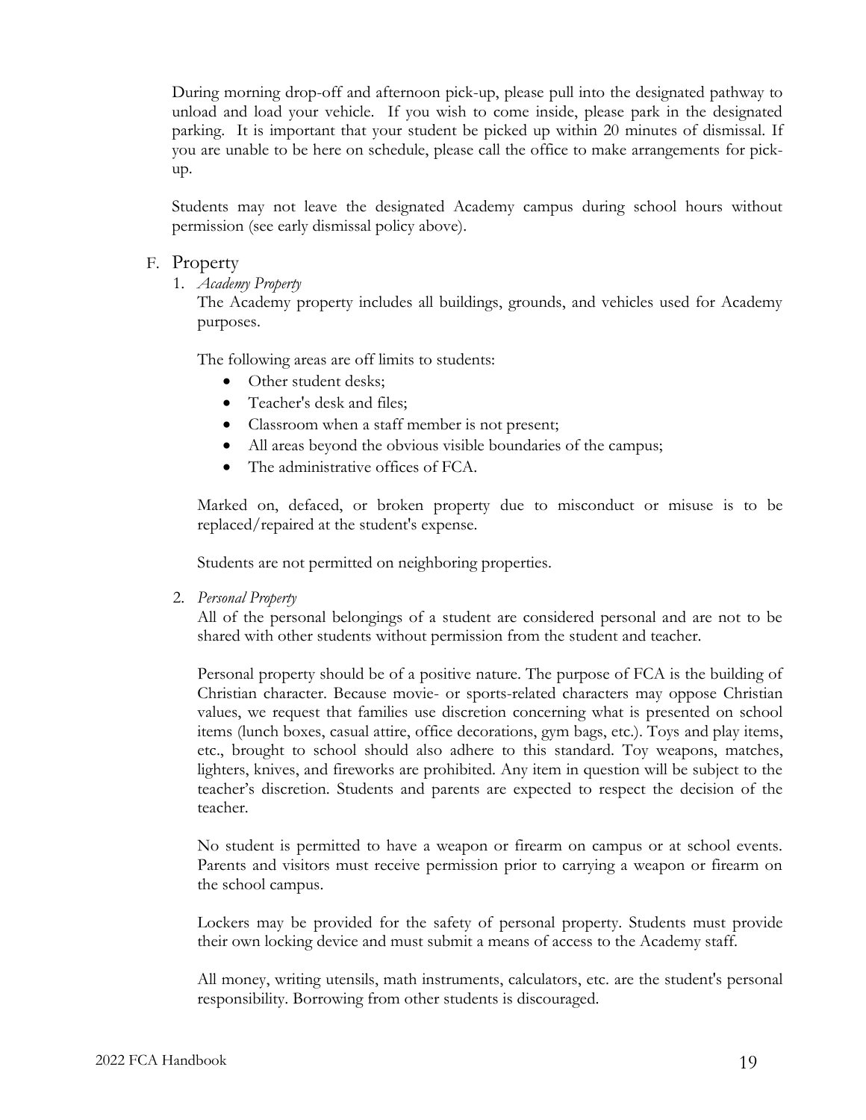During morning drop-off and afternoon pick-up, please pull into the designated pathway to unload and load your vehicle. If you wish to come inside, please park in the designated parking. It is important that your student be picked up within 20 minutes of dismissal. If you are unable to be here on schedule, please call the office to make arrangements for pickup.

Students may not leave the designated Academy campus during school hours without permission (see early dismissal policy above).

#### F. Property

1. *Academy Property*

The Academy property includes all buildings, grounds, and vehicles used for Academy purposes.

The following areas are off limits to students:

- Other student desks;
- Teacher's desk and files;
- Classroom when a staff member is not present;
- All areas beyond the obvious visible boundaries of the campus;
- The administrative offices of FCA.

Marked on, defaced, or broken property due to misconduct or misuse is to be replaced/repaired at the student's expense.

Students are not permitted on neighboring properties.

2. *Personal Property*

All of the personal belongings of a student are considered personal and are not to be shared with other students without permission from the student and teacher.

Personal property should be of a positive nature. The purpose of FCA is the building of Christian character. Because movie- or sports-related characters may oppose Christian values, we request that families use discretion concerning what is presented on school items (lunch boxes, casual attire, office decorations, gym bags, etc.). Toys and play items, etc., brought to school should also adhere to this standard. Toy weapons, matches, lighters, knives, and fireworks are prohibited. Any item in question will be subject to the teacher's discretion. Students and parents are expected to respect the decision of the teacher.

No student is permitted to have a weapon or firearm on campus or at school events. Parents and visitors must receive permission prior to carrying a weapon or firearm on the school campus.

Lockers may be provided for the safety of personal property. Students must provide their own locking device and must submit a means of access to the Academy staff.

All money, writing utensils, math instruments, calculators, etc. are the student's personal responsibility. Borrowing from other students is discouraged.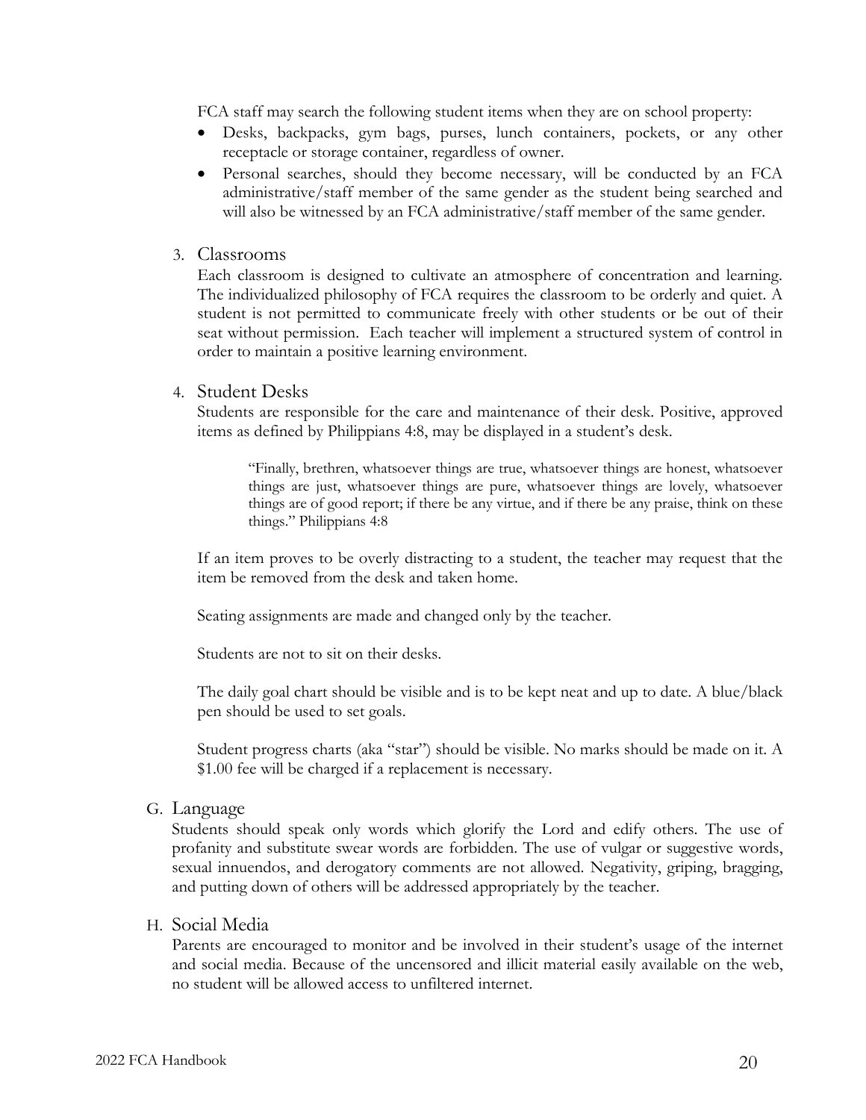FCA staff may search the following student items when they are on school property:

- Desks, backpacks, gym bags, purses, lunch containers, pockets, or any other receptacle or storage container, regardless of owner.
- Personal searches, should they become necessary, will be conducted by an FCA administrative/staff member of the same gender as the student being searched and will also be witnessed by an FCA administrative/staff member of the same gender.

#### 3. Classrooms

Each classroom is designed to cultivate an atmosphere of concentration and learning. The individualized philosophy of FCA requires the classroom to be orderly and quiet. A student is not permitted to communicate freely with other students or be out of their seat without permission. Each teacher will implement a structured system of control in order to maintain a positive learning environment.

#### 4. Student Desks

Students are responsible for the care and maintenance of their desk. Positive, approved items as defined by Philippians 4:8, may be displayed in a student's desk.

"Finally, brethren, whatsoever things are true, whatsoever things are honest, whatsoever things are just, whatsoever things are pure, whatsoever things are lovely, whatsoever things are of good report; if there be any virtue, and if there be any praise, think on these things." Philippians 4:8

If an item proves to be overly distracting to a student, the teacher may request that the item be removed from the desk and taken home.

Seating assignments are made and changed only by the teacher.

Students are not to sit on their desks.

The daily goal chart should be visible and is to be kept neat and up to date. A blue/black pen should be used to set goals.

Student progress charts (aka "star") should be visible. No marks should be made on it. A \$1.00 fee will be charged if a replacement is necessary.

G. Language

Students should speak only words which glorify the Lord and edify others. The use of profanity and substitute swear words are forbidden. The use of vulgar or suggestive words, sexual innuendos, and derogatory comments are not allowed. Negativity, griping, bragging, and putting down of others will be addressed appropriately by the teacher.

#### H. Social Media

Parents are encouraged to monitor and be involved in their student's usage of the internet and social media. Because of the uncensored and illicit material easily available on the web, no student will be allowed access to unfiltered internet.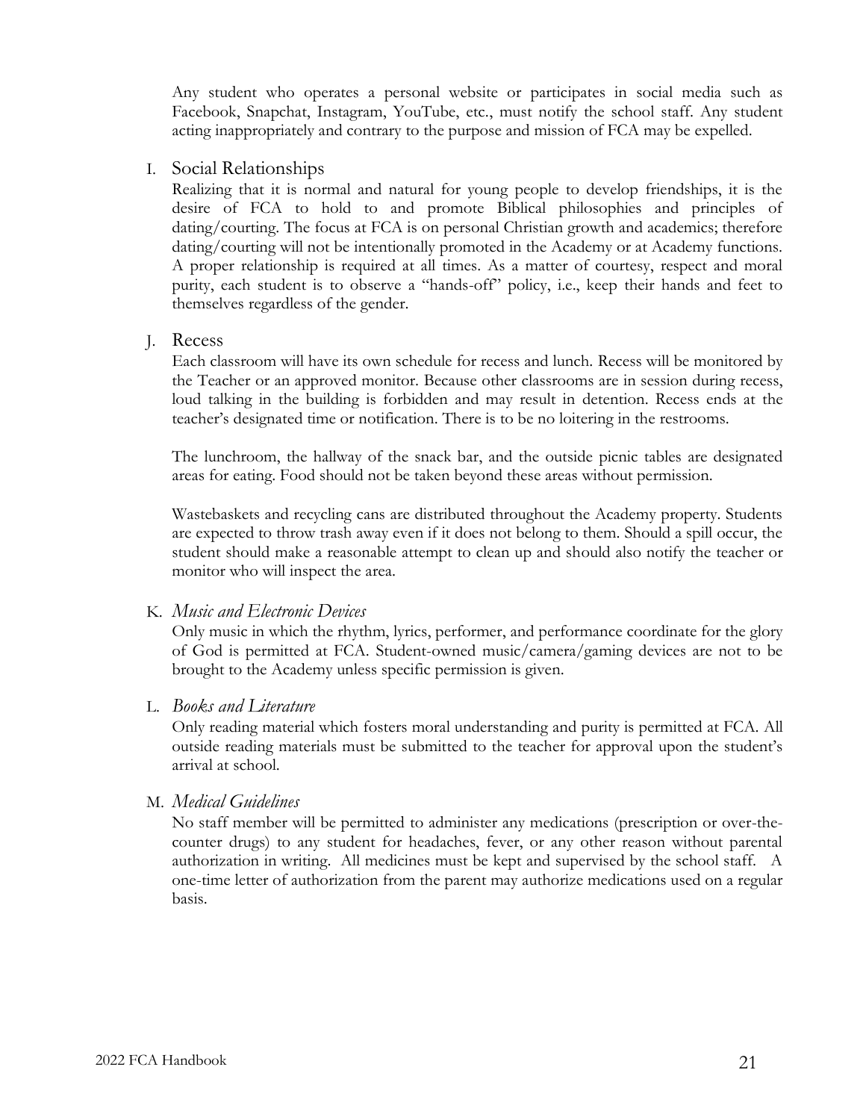Any student who operates a personal website or participates in social media such as Facebook, Snapchat, Instagram, YouTube, etc., must notify the school staff. Any student acting inappropriately and contrary to the purpose and mission of FCA may be expelled.

I. Social Relationships

Realizing that it is normal and natural for young people to develop friendships, it is the desire of FCA to hold to and promote Biblical philosophies and principles of dating/courting. The focus at FCA is on personal Christian growth and academics; therefore dating/courting will not be intentionally promoted in the Academy or at Academy functions. A proper relationship is required at all times. As a matter of courtesy, respect and moral purity, each student is to observe a "hands-off" policy, i.e., keep their hands and feet to themselves regardless of the gender.

J. Recess

Each classroom will have its own schedule for recess and lunch. Recess will be monitored by the Teacher or an approved monitor. Because other classrooms are in session during recess, loud talking in the building is forbidden and may result in detention. Recess ends at the teacher's designated time or notification. There is to be no loitering in the restrooms.

The lunchroom, the hallway of the snack bar, and the outside picnic tables are designated areas for eating. Food should not be taken beyond these areas without permission.

Wastebaskets and recycling cans are distributed throughout the Academy property. Students are expected to throw trash away even if it does not belong to them. Should a spill occur, the student should make a reasonable attempt to clean up and should also notify the teacher or monitor who will inspect the area.

### K. *Music and Electronic Devices*

Only music in which the rhythm, lyrics, performer, and performance coordinate for the glory of God is permitted at FCA. Student-owned music/camera/gaming devices are not to be brought to the Academy unless specific permission is given.

L. *Books and Literature*

Only reading material which fosters moral understanding and purity is permitted at FCA. All outside reading materials must be submitted to the teacher for approval upon the student's arrival at school.

### M. *Medical Guidelines*

No staff member will be permitted to administer any medications (prescription or over-thecounter drugs) to any student for headaches, fever, or any other reason without parental authorization in writing. All medicines must be kept and supervised by the school staff. A one-time letter of authorization from the parent may authorize medications used on a regular basis.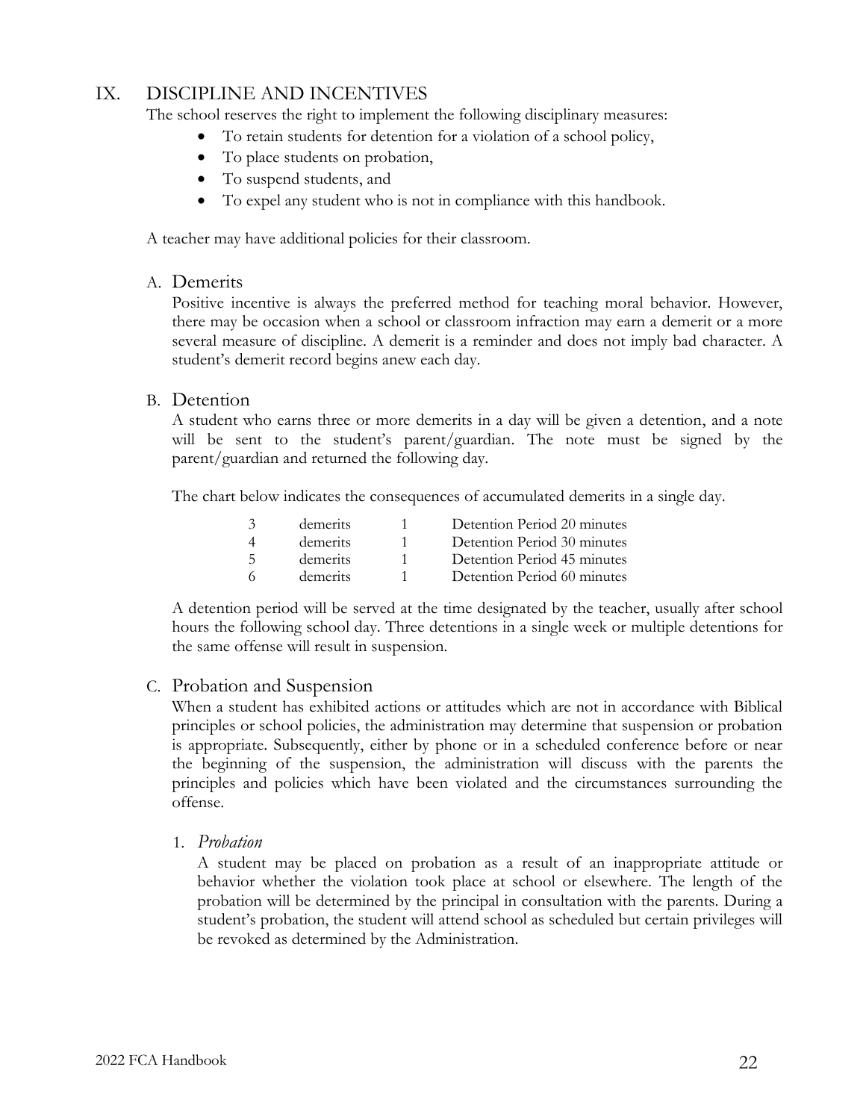## IX. DISCIPLINE AND INCENTIVES

The school reserves the right to implement the following disciplinary measures:

- To retain students for detention for a violation of a school policy,
- To place students on probation,
- To suspend students, and
- To expel any student who is not in compliance with this handbook.

A teacher may have additional policies for their classroom.

A. Demerits

Positive incentive is always the preferred method for teaching moral behavior. However, there may be occasion when a school or classroom infraction may earn a demerit or a more several measure of discipline. A demerit is a reminder and does not imply bad character. A student's demerit record begins anew each day.

## B. Detention

A student who earns three or more demerits in a day will be given a detention, and a note will be sent to the student's parent/guardian. The note must be signed by the parent/guardian and returned the following day.

The chart below indicates the consequences of accumulated demerits in a single day.

| demerits | Detention Period 20 minutes |
|----------|-----------------------------|
| demerits | Detention Period 30 minutes |
| demerits | Detention Period 45 minutes |
| demerits | Detention Period 60 minutes |

A detention period will be served at the time designated by the teacher, usually after school hours the following school day. Three detentions in a single week or multiple detentions for the same offense will result in suspension.

## C. Probation and Suspension

When a student has exhibited actions or attitudes which are not in accordance with Biblical principles or school policies, the administration may determine that suspension or probation is appropriate. Subsequently, either by phone or in a scheduled conference before or near the beginning of the suspension, the administration will discuss with the parents the principles and policies which have been violated and the circumstances surrounding the offense.

1. *Probation*

A student may be placed on probation as a result of an inappropriate attitude or behavior whether the violation took place at school or elsewhere. The length of the probation will be determined by the principal in consultation with the parents. During a student's probation, the student will attend school as scheduled but certain privileges will be revoked as determined by the Administration.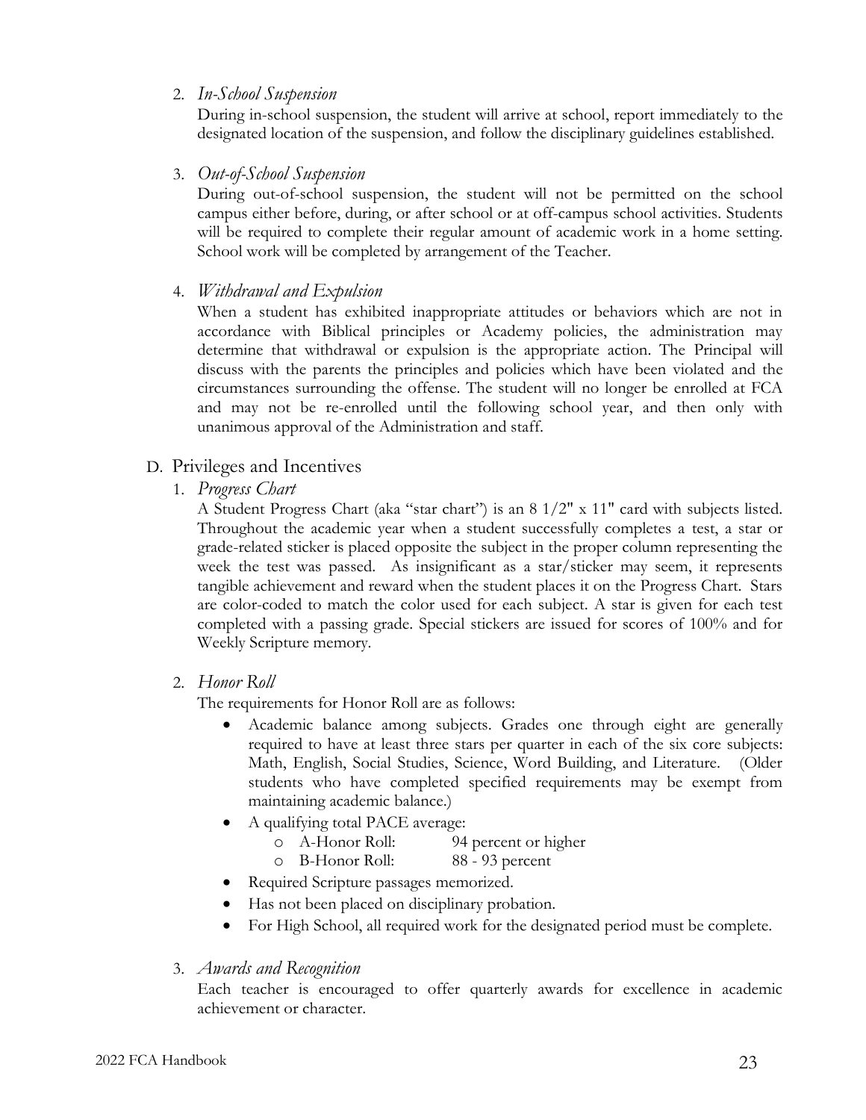## 2. *In-School Suspension*

During in-school suspension, the student will arrive at school, report immediately to the designated location of the suspension, and follow the disciplinary guidelines established.

3. *Out-of-School Suspension*

During out-of-school suspension, the student will not be permitted on the school campus either before, during, or after school or at off-campus school activities. Students will be required to complete their regular amount of academic work in a home setting. School work will be completed by arrangement of the Teacher.

4. *Withdrawal and Expulsion*

When a student has exhibited inappropriate attitudes or behaviors which are not in accordance with Biblical principles or Academy policies, the administration may determine that withdrawal or expulsion is the appropriate action. The Principal will discuss with the parents the principles and policies which have been violated and the circumstances surrounding the offense. The student will no longer be enrolled at FCA and may not be re-enrolled until the following school year, and then only with unanimous approval of the Administration and staff.

### D. Privileges and Incentives

1. *Progress Chart*

A Student Progress Chart (aka "star chart") is an 8 1/2" x 11" card with subjects listed. Throughout the academic year when a student successfully completes a test, a star or grade-related sticker is placed opposite the subject in the proper column representing the week the test was passed. As insignificant as a star/sticker may seem, it represents tangible achievement and reward when the student places it on the Progress Chart. Stars are color-coded to match the color used for each subject. A star is given for each test completed with a passing grade. Special stickers are issued for scores of 100% and for Weekly Scripture memory.

2. *Honor Roll*

The requirements for Honor Roll are as follows:

- Academic balance among subjects. Grades one through eight are generally required to have at least three stars per quarter in each of the six core subjects: Math, English, Social Studies, Science, Word Building, and Literature. (Older students who have completed specified requirements may be exempt from maintaining academic balance.)
- A qualifying total PACE average:
	- o A-Honor Roll: 94 percent or higher
	- o B-Honor Roll: 88 93 percent
- Required Scripture passages memorized.
- Has not been placed on disciplinary probation.
- For High School, all required work for the designated period must be complete.
- 3. *Awards and Recognition*

Each teacher is encouraged to offer quarterly awards for excellence in academic achievement or character.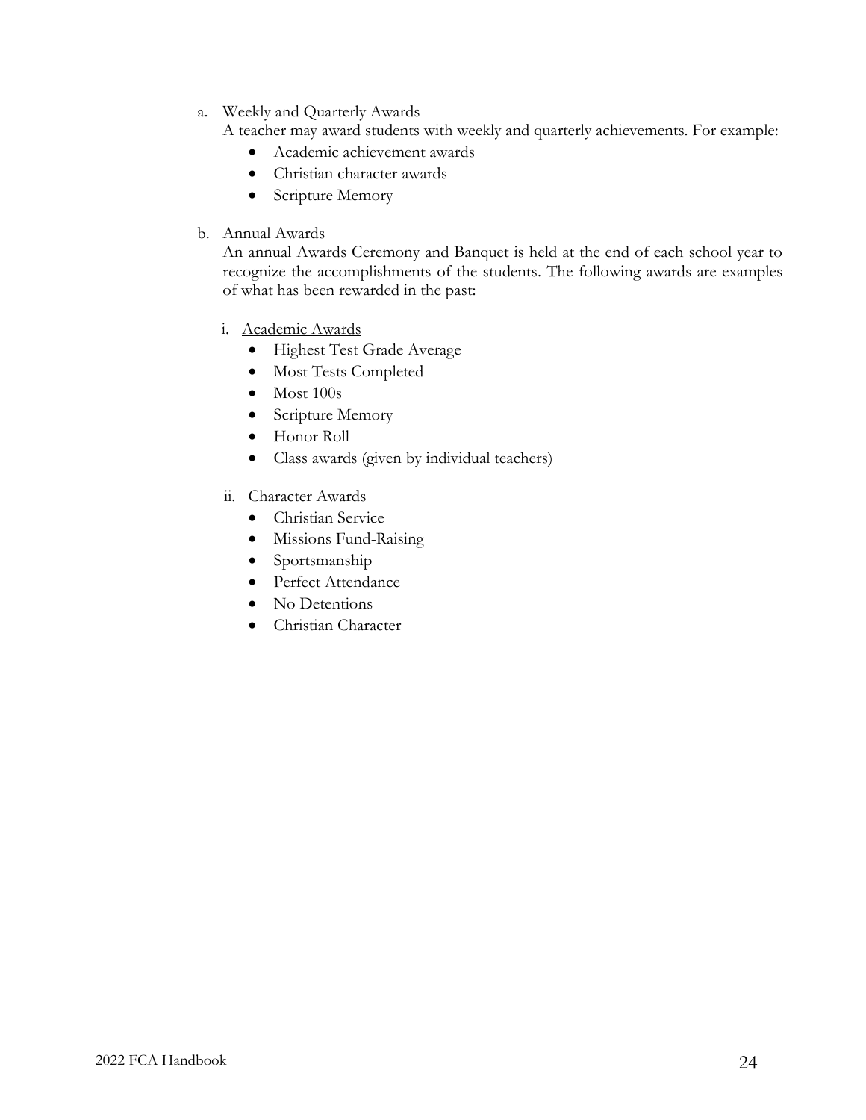- a. Weekly and Quarterly Awards
	- A teacher may award students with weekly and quarterly achievements. For example:
		- Academic achievement awards
		- Christian character awards
		- Scripture Memory
- b. Annual Awards

An annual Awards Ceremony and Banquet is held at the end of each school year to recognize the accomplishments of the students. The following awards are examples of what has been rewarded in the past:

- i. Academic Awards
	- Highest Test Grade Average
	- Most Tests Completed
	- Most 100s
	- Scripture Memory
	- Honor Roll
	- Class awards (given by individual teachers)
- ii. Character Awards
	- Christian Service
	- Missions Fund-Raising
	- Sportsmanship
	- Perfect Attendance
	- No Detentions
	- Christian Character